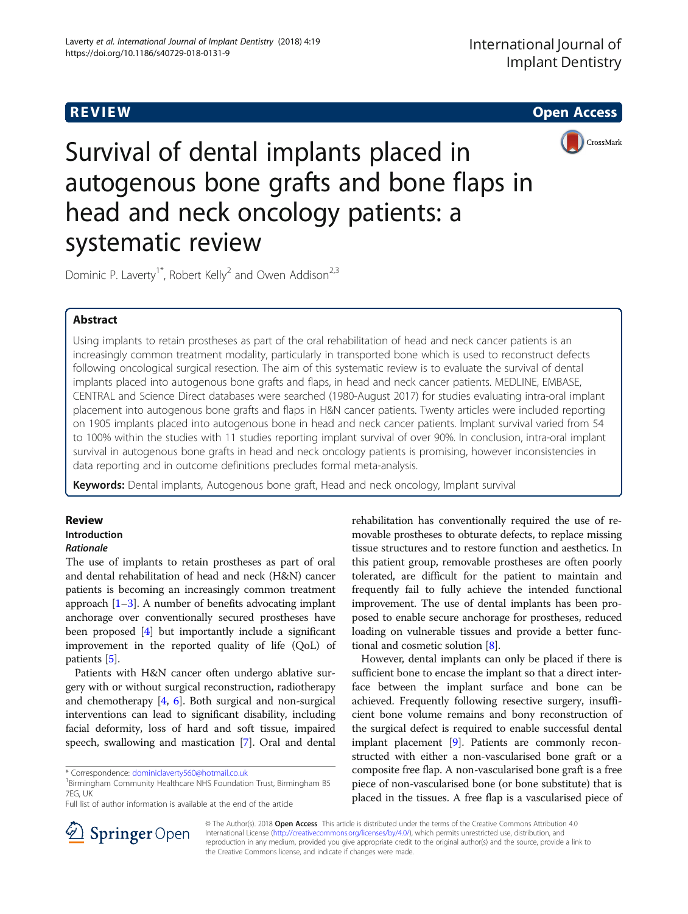**REVIEW CONSTRUCTION CONSTRUCTION CONSTRUCTS** 



# Survival of dental implants placed in autogenous bone grafts and bone flaps in head and neck oncology patients: a systematic review

Dominic P. Laverty<sup>1\*</sup>, Robert Kelly<sup>2</sup> and Owen Addison<sup>2,3</sup>

# Abstract

Using implants to retain prostheses as part of the oral rehabilitation of head and neck cancer patients is an increasingly common treatment modality, particularly in transported bone which is used to reconstruct defects following oncological surgical resection. The aim of this systematic review is to evaluate the survival of dental implants placed into autogenous bone grafts and flaps, in head and neck cancer patients. MEDLINE, EMBASE, CENTRAL and Science Direct databases were searched (1980-August 2017) for studies evaluating intra-oral implant placement into autogenous bone grafts and flaps in H&N cancer patients. Twenty articles were included reporting on 1905 implants placed into autogenous bone in head and neck cancer patients. Implant survival varied from 54 to 100% within the studies with 11 studies reporting implant survival of over 90%. In conclusion, intra-oral implant survival in autogenous bone grafts in head and neck oncology patients is promising, however inconsistencies in data reporting and in outcome definitions precludes formal meta-analysis.

Keywords: Dental implants, Autogenous bone graft, Head and neck oncology, Implant survival

# Review

# Introduction

# Rationale

The use of implants to retain prostheses as part of oral and dental rehabilitation of head and neck (H&N) cancer patients is becoming an increasingly common treatment approach [[1](#page-16-0)–[3](#page-16-0)]. A number of benefits advocating implant anchorage over conventionally secured prostheses have been proposed [[4\]](#page-16-0) but importantly include a significant improvement in the reported quality of life (QoL) of patients [[5\]](#page-16-0).

Patients with H&N cancer often undergo ablative surgery with or without surgical reconstruction, radiotherapy and chemotherapy [\[4](#page-16-0), [6](#page-16-0)]. Both surgical and non-surgical interventions can lead to significant disability, including facial deformity, loss of hard and soft tissue, impaired speech, swallowing and mastication [[7](#page-16-0)]. Oral and dental

rehabilitation has conventionally required the use of removable prostheses to obturate defects, to replace missing tissue structures and to restore function and aesthetics. In this patient group, removable prostheses are often poorly tolerated, are difficult for the patient to maintain and frequently fail to fully achieve the intended functional improvement. The use of dental implants has been proposed to enable secure anchorage for prostheses, reduced loading on vulnerable tissues and provide a better functional and cosmetic solution [\[8](#page-16-0)].

However, dental implants can only be placed if there is sufficient bone to encase the implant so that a direct interface between the implant surface and bone can be achieved. Frequently following resective surgery, insufficient bone volume remains and bony reconstruction of the surgical defect is required to enable successful dental implant placement [[9\]](#page-16-0). Patients are commonly reconstructed with either a non-vascularised bone graft or a composite free flap. A non-vascularised bone graft is a free piece of non-vascularised bone (or bone substitute) that is placed in the tissues. A free flap is a vascularised piece of



© The Author(s). 2018 Open Access This article is distributed under the terms of the Creative Commons Attribution 4.0 International License ([http://creativecommons.org/licenses/by/4.0/\)](http://creativecommons.org/licenses/by/4.0/), which permits unrestricted use, distribution, and reproduction in any medium, provided you give appropriate credit to the original author(s) and the source, provide a link to the Creative Commons license, and indicate if changes were made.

<sup>\*</sup> Correspondence: [dominiclaverty560@hotmail.co.uk](mailto:dominiclaverty560@hotmail.co.uk) <sup>1</sup>

<sup>&</sup>lt;sup>1</sup>Birmingham Community Healthcare NHS Foundation Trust, Birmingham B5 7EG, UK

Full list of author information is available at the end of the article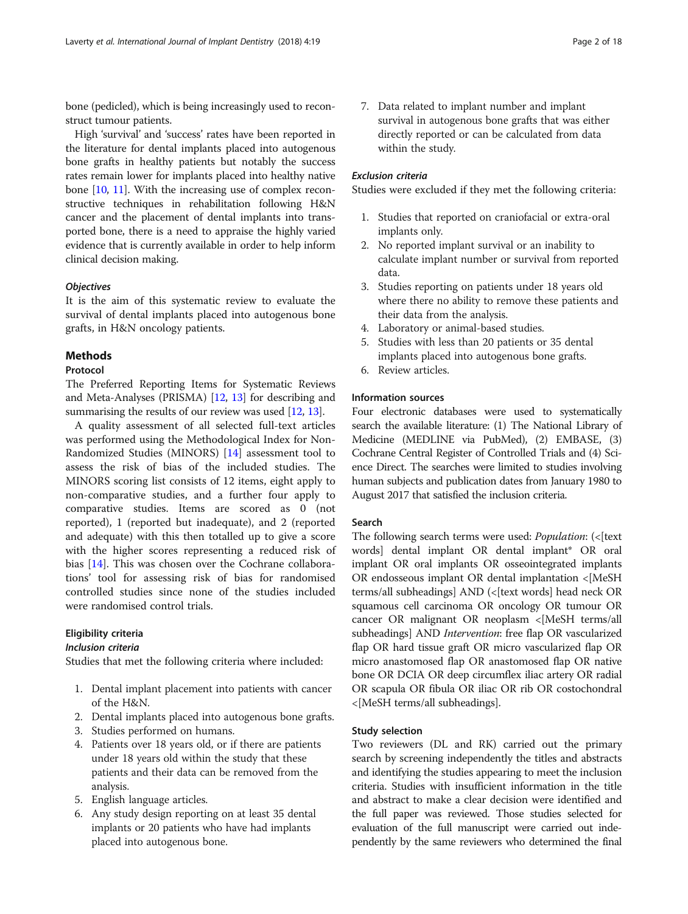bone (pedicled), which is being increasingly used to reconstruct tumour patients.

High 'survival' and 'success' rates have been reported in the literature for dental implants placed into autogenous bone grafts in healthy patients but notably the success rates remain lower for implants placed into healthy native bone [[10](#page-16-0), [11](#page-16-0)]. With the increasing use of complex reconstructive techniques in rehabilitation following H&N cancer and the placement of dental implants into transported bone, there is a need to appraise the highly varied evidence that is currently available in order to help inform clinical decision making.

## **Objectives**

It is the aim of this systematic review to evaluate the survival of dental implants placed into autogenous bone grafts, in H&N oncology patients.

#### Methods

#### Protocol

The Preferred Reporting Items for Systematic Reviews and Meta-Analyses (PRISMA) [\[12](#page-17-0), [13](#page-17-0)] for describing and summarising the results of our review was used [\[12,](#page-17-0) [13](#page-17-0)].

A quality assessment of all selected full-text articles was performed using the Methodological Index for Non-Randomized Studies (MINORS) [[14](#page-17-0)] assessment tool to assess the risk of bias of the included studies. The MINORS scoring list consists of 12 items, eight apply to non-comparative studies, and a further four apply to comparative studies. Items are scored as 0 (not reported), 1 (reported but inadequate), and 2 (reported and adequate) with this then totalled up to give a score with the higher scores representing a reduced risk of bias [\[14](#page-17-0)]. This was chosen over the Cochrane collaborations' tool for assessing risk of bias for randomised controlled studies since none of the studies included were randomised control trials.

#### Eligibility criteria

## Inclusion criteria

Studies that met the following criteria where included:

- 1. Dental implant placement into patients with cancer of the H&N.
- 2. Dental implants placed into autogenous bone grafts.
- 3. Studies performed on humans.
- 4. Patients over 18 years old, or if there are patients under 18 years old within the study that these patients and their data can be removed from the analysis.
- 5. English language articles.
- 6. Any study design reporting on at least 35 dental implants or 20 patients who have had implants placed into autogenous bone.

7. Data related to implant number and implant survival in autogenous bone grafts that was either directly reported or can be calculated from data within the study.

## Exclusion criteria

Studies were excluded if they met the following criteria:

- 1. Studies that reported on craniofacial or extra-oral implants only.
- 2. No reported implant survival or an inability to calculate implant number or survival from reported data.
- 3. Studies reporting on patients under 18 years old where there no ability to remove these patients and their data from the analysis.
- 4. Laboratory or animal-based studies.
- 5. Studies with less than 20 patients or 35 dental implants placed into autogenous bone grafts.
- 6. Review articles.

# Information sources

Four electronic databases were used to systematically search the available literature: (1) The National Library of Medicine (MEDLINE via PubMed), (2) EMBASE, (3) Cochrane Central Register of Controlled Trials and (4) Science Direct. The searches were limited to studies involving human subjects and publication dates from January 1980 to August 2017 that satisfied the inclusion criteria.

# Search

The following search terms were used: *Population*:  $\langle \langle \mathsf{text} \rangle$ words] dental implant OR dental implant\* OR oral implant OR oral implants OR osseointegrated implants OR endosseous implant OR dental implantation <[MeSH terms/all subheadings] AND (<[text words] head neck OR squamous cell carcinoma OR oncology OR tumour OR cancer OR malignant OR neoplasm <[MeSH terms/all subheadings] AND *Intervention*: free flap OR vascularized flap OR hard tissue graft OR micro vascularized flap OR micro anastomosed flap OR anastomosed flap OR native bone OR DCIA OR deep circumflex iliac artery OR radial OR scapula OR fibula OR iliac OR rib OR costochondral <[MeSH terms/all subheadings].

#### Study selection

Two reviewers (DL and RK) carried out the primary search by screening independently the titles and abstracts and identifying the studies appearing to meet the inclusion criteria. Studies with insufficient information in the title and abstract to make a clear decision were identified and the full paper was reviewed. Those studies selected for evaluation of the full manuscript were carried out independently by the same reviewers who determined the final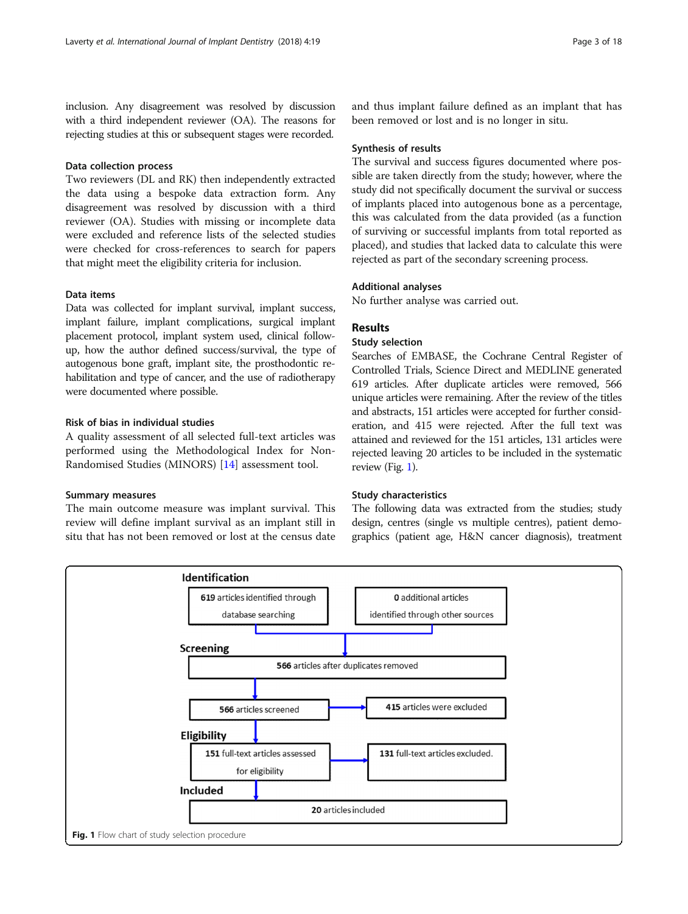inclusion. Any disagreement was resolved by discussion with a third independent reviewer (OA). The reasons for rejecting studies at this or subsequent stages were recorded.

#### Data collection process

Two reviewers (DL and RK) then independently extracted the data using a bespoke data extraction form. Any disagreement was resolved by discussion with a third reviewer (OA). Studies with missing or incomplete data were excluded and reference lists of the selected studies were checked for cross-references to search for papers that might meet the eligibility criteria for inclusion.

#### Data items

Data was collected for implant survival, implant success, implant failure, implant complications, surgical implant placement protocol, implant system used, clinical followup, how the author defined success/survival, the type of autogenous bone graft, implant site, the prosthodontic rehabilitation and type of cancer, and the use of radiotherapy were documented where possible.

## Risk of bias in individual studies

A quality assessment of all selected full-text articles was performed using the Methodological Index for Non-Randomised Studies (MINORS) [[14](#page-17-0)] assessment tool.

#### Summary measures

The main outcome measure was implant survival. This review will define implant survival as an implant still in situ that has not been removed or lost at the census date

and thus implant failure defined as an implant that has been removed or lost and is no longer in situ.

#### Synthesis of results

The survival and success figures documented where possible are taken directly from the study; however, where the study did not specifically document the survival or success of implants placed into autogenous bone as a percentage, this was calculated from the data provided (as a function of surviving or successful implants from total reported as placed), and studies that lacked data to calculate this were rejected as part of the secondary screening process.

## Additional analyses

No further analyse was carried out.

# Results

# Study selection

Searches of EMBASE, the Cochrane Central Register of Controlled Trials, Science Direct and MEDLINE generated 619 articles. After duplicate articles were removed, 566 unique articles were remaining. After the review of the titles and abstracts, 151 articles were accepted for further consideration, and 415 were rejected. After the full text was attained and reviewed for the 151 articles, 131 articles were rejected leaving 20 articles to be included in the systematic review (Fig. 1).

#### Study characteristics

The following data was extracted from the studies; study design, centres (single vs multiple centres), patient demographics (patient age, H&N cancer diagnosis), treatment

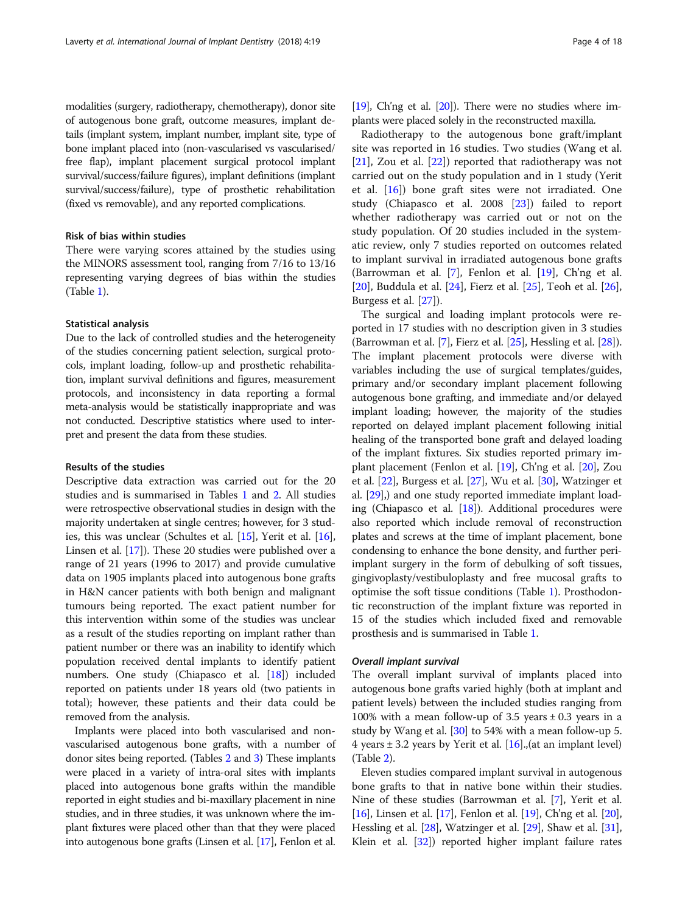modalities (surgery, radiotherapy, chemotherapy), donor site of autogenous bone graft, outcome measures, implant details (implant system, implant number, implant site, type of bone implant placed into (non-vascularised vs vascularised/ free flap), implant placement surgical protocol implant survival/success/failure figures), implant definitions (implant survival/success/failure), type of prosthetic rehabilitation (fixed vs removable), and any reported complications.

#### Risk of bias within studies

There were varying scores attained by the studies using the MINORS assessment tool, ranging from 7/16 to 13/16 representing varying degrees of bias within the studies (Table [1\)](#page-4-0).

#### Statistical analysis

Due to the lack of controlled studies and the heterogeneity of the studies concerning patient selection, surgical protocols, implant loading, follow-up and prosthetic rehabilitation, implant survival definitions and figures, measurement protocols, and inconsistency in data reporting a formal meta-analysis would be statistically inappropriate and was not conducted. Descriptive statistics where used to interpret and present the data from these studies.

#### Results of the studies

Descriptive data extraction was carried out for the 20 studies and is summarised in Tables [1](#page-4-0) and [2](#page-9-0). All studies were retrospective observational studies in design with the majority undertaken at single centres; however, for 3 studies, this was unclear (Schultes et al. [\[15](#page-17-0)], Yerit et al. [[16](#page-17-0)], Linsen et al. [\[17](#page-17-0)]). These 20 studies were published over a range of 21 years (1996 to 2017) and provide cumulative data on 1905 implants placed into autogenous bone grafts in H&N cancer patients with both benign and malignant tumours being reported. The exact patient number for this intervention within some of the studies was unclear as a result of the studies reporting on implant rather than patient number or there was an inability to identify which population received dental implants to identify patient numbers. One study (Chiapasco et al. [\[18\]](#page-17-0)) included reported on patients under 18 years old (two patients in total); however, these patients and their data could be removed from the analysis.

Implants were placed into both vascularised and nonvascularised autogenous bone grafts, with a number of donor sites being reported. (Tables [2](#page-9-0) and [3\)](#page-12-0) These implants were placed in a variety of intra-oral sites with implants placed into autogenous bone grafts within the mandible reported in eight studies and bi-maxillary placement in nine studies, and in three studies, it was unknown where the implant fixtures were placed other than that they were placed into autogenous bone grafts (Linsen et al. [\[17](#page-17-0)], Fenlon et al.

[[19](#page-17-0)], Ch'ng et al. [\[20](#page-17-0)]). There were no studies where implants were placed solely in the reconstructed maxilla.

Radiotherapy to the autogenous bone graft/implant site was reported in 16 studies. Two studies (Wang et al. [[21\]](#page-17-0), Zou et al. [\[22](#page-17-0)]) reported that radiotherapy was not carried out on the study population and in 1 study (Yerit et al. [[16](#page-17-0)]) bone graft sites were not irradiated. One study (Chiapasco et al. 2008 [[23\]](#page-17-0)) failed to report whether radiotherapy was carried out or not on the study population. Of 20 studies included in the systematic review, only 7 studies reported on outcomes related to implant survival in irradiated autogenous bone grafts (Barrowman et al. [\[7](#page-16-0)], Fenlon et al. [\[19\]](#page-17-0), Ch'ng et al. [[20\]](#page-17-0), Buddula et al. [[24](#page-17-0)], Fierz et al. [[25](#page-17-0)], Teoh et al. [\[26](#page-17-0)], Burgess et al. [[27\]](#page-17-0)).

The surgical and loading implant protocols were reported in 17 studies with no description given in 3 studies (Barrowman et al. [\[7\]](#page-16-0), Fierz et al. [[25](#page-17-0)], Hessling et al. [[28](#page-17-0)]). The implant placement protocols were diverse with variables including the use of surgical templates/guides, primary and/or secondary implant placement following autogenous bone grafting, and immediate and/or delayed implant loading; however, the majority of the studies reported on delayed implant placement following initial healing of the transported bone graft and delayed loading of the implant fixtures. Six studies reported primary implant placement (Fenlon et al. [\[19\]](#page-17-0), Ch'ng et al. [\[20\]](#page-17-0), Zou et al. [\[22\]](#page-17-0), Burgess et al. [\[27\]](#page-17-0), Wu et al. [[30](#page-17-0)], Watzinger et al. [[29](#page-17-0)],) and one study reported immediate implant loading (Chiapasco et al.  $[18]$ ). Additional procedures were also reported which include removal of reconstruction plates and screws at the time of implant placement, bone condensing to enhance the bone density, and further periimplant surgery in the form of debulking of soft tissues, gingivoplasty/vestibuloplasty and free mucosal grafts to optimise the soft tissue conditions (Table [1](#page-4-0)). Prosthodontic reconstruction of the implant fixture was reported in 15 of the studies which included fixed and removable prosthesis and is summarised in Table [1](#page-4-0).

### Overall implant survival

The overall implant survival of implants placed into autogenous bone grafts varied highly (both at implant and patient levels) between the included studies ranging from 100% with a mean follow-up of 3.5 years  $\pm$  0.3 years in a study by Wang et al. [[30](#page-17-0)] to 54% with a mean follow-up 5. 4 years  $\pm$  3.2 years by Yerit et al. [\[16](#page-17-0)]., (at an implant level) (Table [2\)](#page-9-0).

Eleven studies compared implant survival in autogenous bone grafts to that in native bone within their studies. Nine of these studies (Barrowman et al. [[7\]](#page-16-0), Yerit et al. [[16](#page-17-0)], Linsen et al. [[17](#page-17-0)], Fenlon et al. [\[19\]](#page-17-0), Ch'ng et al. [[20](#page-17-0)], Hessling et al. [\[28](#page-17-0)], Watzinger et al. [[29\]](#page-17-0), Shaw et al. [[31](#page-17-0)], Klein et al. [\[32\]](#page-17-0)) reported higher implant failure rates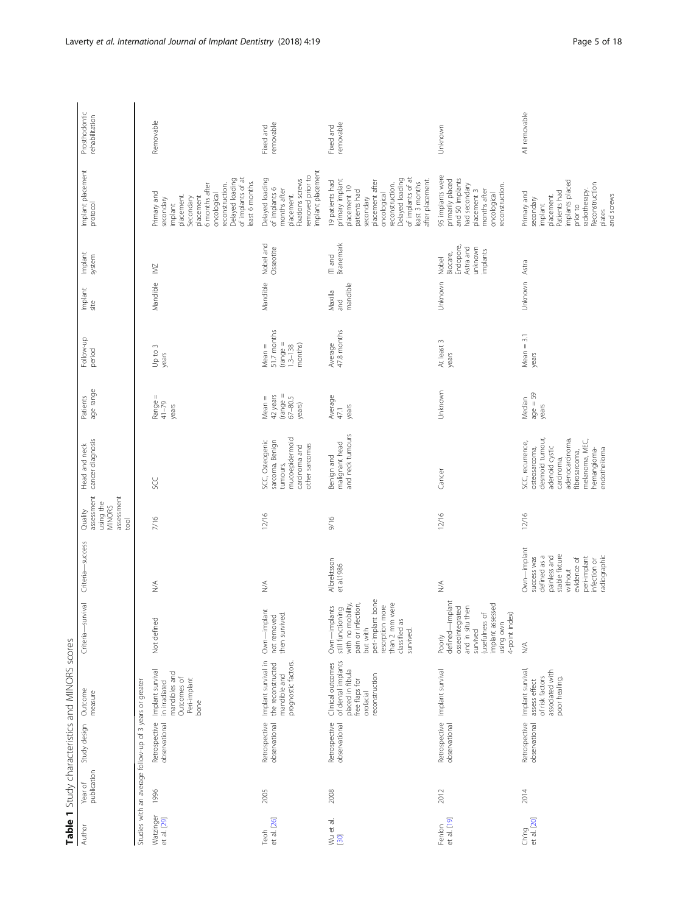<span id="page-4-0"></span>

|                          |                        |                                                         | Table 1 Study characteristics and MINORS scores                                                              |                                                                                                                                                                                  |                                                                                                                                                        |                                                                           |                                                                                                                                                                           |                                                         |                                                                 |                            |                                                                    |                                                                                                                                                                                                                    |                                 |
|--------------------------|------------------------|---------------------------------------------------------|--------------------------------------------------------------------------------------------------------------|----------------------------------------------------------------------------------------------------------------------------------------------------------------------------------|--------------------------------------------------------------------------------------------------------------------------------------------------------|---------------------------------------------------------------------------|---------------------------------------------------------------------------------------------------------------------------------------------------------------------------|---------------------------------------------------------|-----------------------------------------------------------------|----------------------------|--------------------------------------------------------------------|--------------------------------------------------------------------------------------------------------------------------------------------------------------------------------------------------------------------|---------------------------------|
| Author                   | publication<br>Year of | Study design                                            | Outcome<br>measure                                                                                           | Criteria-survival                                                                                                                                                                | Criteria-success                                                                                                                                       | assessment<br>assessment<br>using the<br><b>MINORS</b><br>Quality<br>Tool | cancer diagnosis<br>Head and neck                                                                                                                                         | age range<br>Patients                                   | Follow-up<br>period                                             | Implant<br>site            | Implant<br>system                                                  | Implant placement<br>protocol                                                                                                                                                                                      | Prosthodontic<br>rehabilitation |
|                          |                        | Studies with an average follow-up of 3 years or greater |                                                                                                              |                                                                                                                                                                                  |                                                                                                                                                        |                                                                           |                                                                                                                                                                           |                                                         |                                                                 |                            |                                                                    |                                                                                                                                                                                                                    |                                 |
| Watzinger<br>et al. [29] | 1996                   | Retrospective<br>observational                          | Implant survival<br>mandibles and<br>Outcomes of<br>Peri-implant<br>in irradiated<br>bone                    | Not defined                                                                                                                                                                      | $\lessgtr$                                                                                                                                             | 7/16                                                                      | <b>SCC</b>                                                                                                                                                                | Range =<br>41-79<br>years                               | Up to 3<br>years                                                | Mandible IMZ               |                                                                    | of implants of at<br>Delayed loading<br>least 6 months.<br>reconstruction.<br>6 months after<br>Primary and<br>oncological<br>placement.<br>Secondary<br>placement<br>secondary<br>implant                         | Removable                       |
| et al. [26]<br>Teoh      | 2005                   | Retrospective<br>observational                          | Implant survival in<br>prognostic factors.<br>the reconstructed<br>mandible and                              | Own-implant<br>not removed<br>then survived.                                                                                                                                     | $\lessgtr$                                                                                                                                             | 12/16                                                                     | mucoepidermoid<br>SCC, Osteogenic<br>sarcoma, Benign<br>other sarcomas<br>carcinoma and<br>tumours,                                                                       | $frac =$<br>$67-80.5$<br>42 years<br>$Mean =$<br>years) | 51.7 months<br>$(range =$<br>months)<br>$Mean =$<br>$1.3 - 138$ | Mandible                   | Nobel and<br>Osseotite                                             | implant placement<br>removed prior to<br>Delayed loading<br>Fixations screws<br>of implants 6<br>months after<br>placement.                                                                                        | removable<br>Fixed and          |
| Wu et al.<br>[30]        | 2008                   | Retrospective<br>observational                          | of dental implants<br>Clinical outcomes<br>placed in fibula<br>reconstruction<br>free flaps for<br>orofacial | peri-implant bone<br>than 2 mm were<br>still functioning<br>with no mobility,<br>pain or infection,<br>resorption more<br>Own-implants<br>classified as<br>but with<br>survived. | Albrektsson<br>et al.1986                                                                                                                              | 9/16                                                                      | and neck tumours<br>malignant head<br>Benign and                                                                                                                          | Average<br>47.1<br>years                                | 47.8 months<br>Average                                          | mandible<br>Maxilla<br>and | <b>Branemark</b><br>ITI and                                        | of implants of at<br>Delayed loading<br>primary implant<br>after placement.<br>19 patients had<br>placement after<br>reconstruction.<br>least 3 months<br>placement 10<br>patients had<br>oncological<br>secondary | removable<br>Fixed and          |
| Fenlon<br>et al. [19]    | 2012                   | Retrospective<br>observational                          | Implant survival                                                                                             | defined-implant<br>implant assessed<br>and in situ then<br>osseointegrated<br>(usefulness of<br>4-point index)<br>using own<br>survived<br>Poorly                                | ⋚                                                                                                                                                      | 12/16                                                                     | Cancer                                                                                                                                                                    | Unknown                                                 | At least 3<br>years                                             | Unknown                    | Endopore,<br>Astra and<br>unknown<br>implants<br>Biocare,<br>Nobel | 95 implants were<br>and 50 implants<br>primarily placed<br>had secondary<br>reconstruction.<br>months after<br>placement 3<br>oncological                                                                          | Unknown                         |
| Ch'ng<br>et al. [20]     | 2014                   | Retrospective<br>observational                          | Implant survival,<br>associated with<br>of risk factors<br>poor healing.<br>assess effect                    | ≶∕                                                                                                                                                                               | Own-implant<br>stable fixture<br>defined as a<br>infection or<br>radiographic<br>success was<br>painless and<br>peri-implant<br>evidence of<br>without | 12/16                                                                     | desmoid tumour,<br>adenocarcinoma,<br>melanoma, MEC,<br>SCC, recurrence,<br>adenoid cystic<br>osteosarcoma,<br>hemangioma-<br>endotheiloma<br>fibrosarcoma,<br>carcinoma, | $age = 59$<br>Median<br>years                           | $Mean = 3.1$<br>years                                           | Unknown Astra              |                                                                    | implants placed<br>Reconstruction<br>radiotherapy.<br>Patients had<br>Primary and<br>and screws<br>placement.<br>secondary<br>implant<br>prior to<br>plates                                                        | All removable                   |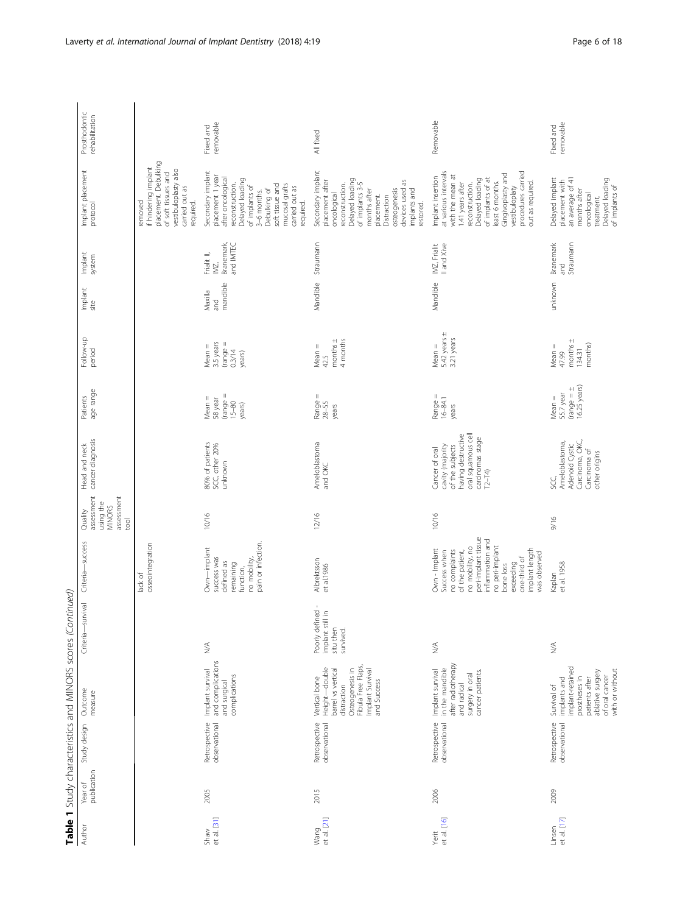|                       |                        |                                | Table 1 Study characteristics and MINORS scores (Continued)                                                                                    |                                                                            |                                                                                                                                                                                                                                |                                                                           |                                                                                                                                    |                                                                      |                                                                                 |                            |                                                |                                                                                                                                                                                                                                                  |                                 |
|-----------------------|------------------------|--------------------------------|------------------------------------------------------------------------------------------------------------------------------------------------|----------------------------------------------------------------------------|--------------------------------------------------------------------------------------------------------------------------------------------------------------------------------------------------------------------------------|---------------------------------------------------------------------------|------------------------------------------------------------------------------------------------------------------------------------|----------------------------------------------------------------------|---------------------------------------------------------------------------------|----------------------------|------------------------------------------------|--------------------------------------------------------------------------------------------------------------------------------------------------------------------------------------------------------------------------------------------------|---------------------------------|
| Author                | publication<br>Year of | Study design                   | Outcome<br>measure                                                                                                                             | Criteria-survival                                                          | Criteria-success                                                                                                                                                                                                               | assessment<br>assessment<br>using the<br><b>MINORS</b><br>Quality<br>tool | cancer diagnosis<br>Head and neck                                                                                                  | age range<br>Patients                                                | Follow-up<br>period                                                             | Implant<br>site            | Implant<br>system                              | Implant placement<br>protocol                                                                                                                                                                                                                    | Prosthodontic<br>rehabilitation |
|                       |                        |                                |                                                                                                                                                |                                                                            | osseointegration<br>lack of                                                                                                                                                                                                    |                                                                           |                                                                                                                                    |                                                                      |                                                                                 |                            |                                                | placement. Debulking<br>if hindering implant<br>vestibuloplasty also<br>of soft tissues and<br>carried out as<br>required.<br>removed                                                                                                            |                                 |
| et al. [31]<br>Shaw   | 2005                   | Retrospective<br>observational | and complications<br>Implant survival<br>complications<br>and surgical                                                                         | $\lessapprox$                                                              | pain or infection.<br>Own-implant<br>success was<br>no mobility,<br>defined as<br>remaining<br>function,                                                                                                                       | 10/16                                                                     | 80% of patients<br>SCC, other 20%<br>unknown                                                                                       | $\frac{\text{trange}}{\text{s}-80}$<br>$Mean =$<br>58 year<br>years) | 3.5 years<br>$\frac{\text{trange}}{\text{0.3}/\text{14}}$<br>$Mean =$<br>years) | mandible<br>Maxilla<br>and | Branemark,<br>and IMTEC<br>Frialit II,<br>IMZ, | Secondary implant<br>placement 1 year<br>after oncological<br>Delayed loading<br>reconstruction.<br>mucosal grafts<br>soft tissue and<br>of implants of<br>carried out as<br>Debulking of<br>3-6 months.<br>required.                            | removable<br>Fixed and          |
| Wang<br>et al. [21]   | 2015                   | Retrospective<br>observational | Fibula Free Flaps<br>Height-double<br>barrel vs vertical<br>Osteogenesis in<br>Implant Survival<br>Vertical bone<br>and Success<br>distraction | Poorly defined -<br>$\subseteq$<br>implant still<br>situ then<br>survived. | Albrektsson<br>et al.1986                                                                                                                                                                                                      | 12/16                                                                     | Ameloblastoma<br>and OKC                                                                                                           | Range =<br>28-55<br>years                                            | 4 months<br>months $\pm$<br>$Mean =$<br>42.5                                    | Mandible                   | Straumann                                      | Secondary implant<br>Delayed loading<br>devices used as<br>placement after<br>of implants 3-5<br>reconstruction.<br>osteogenesis<br>implants and<br>months after<br>oncological<br>placement.<br>Distraction<br>restored.                        | All fixed                       |
| et al. [16]<br>Yerit  | 2006                   | Retrospective<br>observational | after radiotherapy<br>in the mandible<br>Implant survival<br>cancer patients.<br>surgery in oral<br>and radical                                | ≶                                                                          | peri-implant tissue<br>inflammation and<br>no peri-implant<br>no mobility, no<br>Own - Implant<br>no complaints<br>implant length<br>Success when<br>of the patient,<br>was observed<br>one-third of<br>exceeding<br>bone loss | 10/16                                                                     | oral squamous cell<br>having destructive<br>carcinomas stage<br>cavity (majority<br>of the subjects<br>Cancer of oral<br>$T2 - T4$ | Range =<br>$16 - 84.1$<br>years                                      | 5.42 years ±<br>3.21 years<br>$Mean =$                                          | Mandible                   | II and Xive<br>IMZ, Frialit                    | at various intervals<br>with the mean at<br>procedures carried<br>out as required.<br>Gingivoplasty and<br>Implant insertion<br>of implants of at<br>Delayed loading<br>least 6 months.<br>1.41 years after<br>reconstruction.<br>vestibuloplaty | Removable                       |
| et al. [17]<br>Linsen | 2009                   | Retrospective<br>observational | implant-retained<br>with or without<br>ablative surgery<br>prostheses in<br>of oral cancer<br>patients after<br>implants and<br>Survival of    | $\lessapprox$                                                              | et al. 1958<br>Kaplan                                                                                                                                                                                                          | 9/16                                                                      | Carcinoma, OKC,<br>Ameloblastoma,<br>Adenoid Cystic<br>Carcinoma of<br>other origins<br>SC,                                        | 16.25 years)<br>(range $=$ $\pm$<br>55.7 year<br>Mean =              | months $\pm$<br>months)<br>$Mean =$<br>134.31<br>47.99                          | unknown                    | Branemark<br>Straumann<br>and                  | Delayed implant<br>an average of 41<br>Delayed loading<br>placement with<br>of implants of<br>months after<br>oncological<br>treatment.                                                                                                          | removable<br>Fixed and          |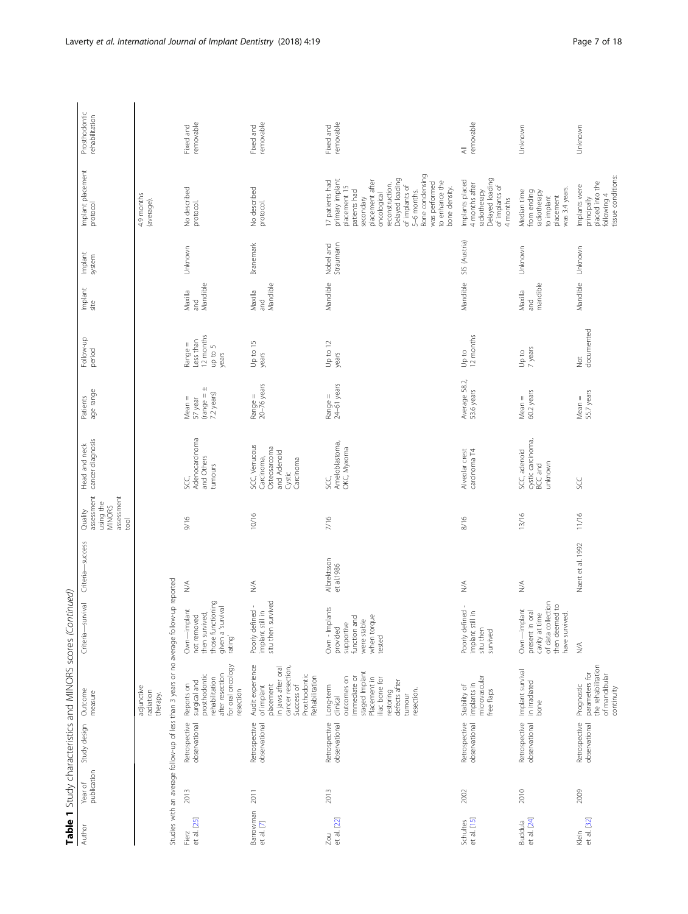|                               |                        |                                | Table 1 Study characteristics and MINORS scores (Continued)                                                                                                    |                                                                                                            |                           |                                                                    |                                                                                    |                                                     |                                                       |                            |                        |                                                                                                                                                                                                                                                                 |                                 |
|-------------------------------|------------------------|--------------------------------|----------------------------------------------------------------------------------------------------------------------------------------------------------------|------------------------------------------------------------------------------------------------------------|---------------------------|--------------------------------------------------------------------|------------------------------------------------------------------------------------|-----------------------------------------------------|-------------------------------------------------------|----------------------------|------------------------|-----------------------------------------------------------------------------------------------------------------------------------------------------------------------------------------------------------------------------------------------------------------|---------------------------------|
| Author                        | publication<br>Year of | Study design                   | Outcome<br>measure                                                                                                                                             | Criteria-survival                                                                                          | Criteria-success          | assessment<br>assessment<br>using the<br>MINORS<br>Quality<br>tool | cancer diagnosis<br>Head and neck                                                  | age range<br>Patients                               | Follow-up<br>period                                   | Implant<br>site            | Implant<br>system      | Implant placement<br>protocol                                                                                                                                                                                                                                   | Prosthodontic<br>rehabilitation |
|                               |                        |                                | adjunctive<br>radiation<br>therapy.                                                                                                                            |                                                                                                            |                           |                                                                    |                                                                                    |                                                     |                                                       |                            |                        | 4.9 months<br>(average).                                                                                                                                                                                                                                        |                                 |
|                               |                        |                                | Studies with an average follow-up of less than 3 years or no average follow-up reported                                                                        |                                                                                                            |                           |                                                                    |                                                                                    |                                                     |                                                       |                            |                        |                                                                                                                                                                                                                                                                 |                                 |
| et al. [25]<br>Fierz          | 2013                   | Retrospective<br>observational | for oral oncology<br>after resection<br>prosthodontic<br>rehabilitation<br>surgical and<br>Reports on<br>resection                                             | those functioning<br>given a 'survival<br>Own—implant<br>not removed<br>then survived,<br>rating'          | ≶                         | 9/16                                                               | Adenocarcinoma<br>and Others<br>tumours<br>y                                       | $t = 9$ priori<br>7.2 years)<br>$Mean =$<br>57 year | 12 months<br>Less than<br>Range =<br>up to 5<br>years | Mandible<br>Maxilla<br>and | Unknown                | No described<br>protocol.                                                                                                                                                                                                                                       | removable<br>Fixed and          |
| Barrowman<br>et al. [7]       | 2011                   | Retrospective<br>observational | Audit experience<br>cancer resection,<br>in jaws after oral<br>Prosthodontic<br>Rehabilitation<br>placement<br>Success of<br>of implant                        | situ then survived<br>Poorly defined -<br>$\equiv$<br>implant still                                        | ≶                         | 10/16                                                              | SCC, Verrucous<br>Osteosarcoma<br>and Adenoid<br>Carcinoma,<br>Carcinoma<br>Cystic | Range =<br>20-76 years                              | Up to 15<br>years                                     | Mandible<br>Maxilla<br>and | Branemark              | No described<br>protocol.                                                                                                                                                                                                                                       | removable<br>Fixed and          |
| et al. [22]<br>Zou            | 2013                   | Retrospective<br>observational | staged Implant<br>outcomes on<br>immediate or<br>Placement in<br>iliac bone for<br>defects after<br>Long-term<br>resection.<br>restoring<br>tumour<br>clinical | Own - Implants<br>when torque<br>function and<br>were stable<br>supportive<br>provided<br>tested           | Albrektsson<br>et al.1986 | 7/16                                                               | Ameloblastoma,<br>OKC, Myxoma<br>SCC,                                              | $24-61$ years<br>Range =                            | Up to 12<br>years                                     | Mandible                   | Straumann<br>Nobel and | Bone condensing<br>Delayed loading<br>primary implant<br>17 patients had<br>placement after<br>to enhance the<br>was performed<br>reconstruction.<br>placement 15<br>of implants of<br>bone density.<br>patients had<br>5-6 months.<br>oncological<br>secondary | removable<br>Fixed and          |
| et al. [15]<br>Schultes       | 2002                   | Retrospective<br>observational | microvascular<br>implants in<br>Stability of<br>free flaps                                                                                                     | Poorly defined -<br>$\subseteq$<br>implant still<br>situ then<br>survived                                  | ⋚                         | 8/16                                                               | Alveolar crest<br>carcinoma <sub>T4</sub>                                          | Average 58.2,<br>53.6 years                         | Up to<br>12 months                                    | Mandible                   | SIS (Austria)          | Delayed loading<br>Implants placed<br>4 months after<br>of implants of<br>radiotherapy<br>4 months                                                                                                                                                              | removable<br>$\equiv$           |
| et al. [24]<br><b>Buddula</b> | 2010                   | Retrospective<br>observational | Implant survival<br>in irradiated<br>bone                                                                                                                      | of data collection<br>then deemed to<br>Own-implant<br>present in oral<br>cavity at time<br>have survived. | ⋚                         | 13/16                                                              | cystic carcinoma,<br>SCC, adenoid<br>unknown<br>BCC and                            | 60.2 years<br>$Mean =$                              | 7 years<br>op to                                      | mandible<br>Maxilla<br>and | Unknown                | was 3.4 years.<br>Median time<br>from ending<br>radiotherapy<br>placement<br>to implant                                                                                                                                                                         | Unknown                         |
| et al. [32]<br>Klein          | 2009                   | Retrospective<br>observational | the rehabilitation<br>parameters for<br>of mandibular<br>Prognostic<br>continuity                                                                              | $\lessgtr$                                                                                                 | Naert et al. 1992         | 11/16                                                              | SCC                                                                                | 55.7 years<br>$Mean =$                              | documented<br>$\frac{1}{2}$                           |                            | Mandible Unknown       | placed into the<br>following 4<br>tissue conditions:<br>Implants were<br>principally                                                                                                                                                                            | Unknown                         |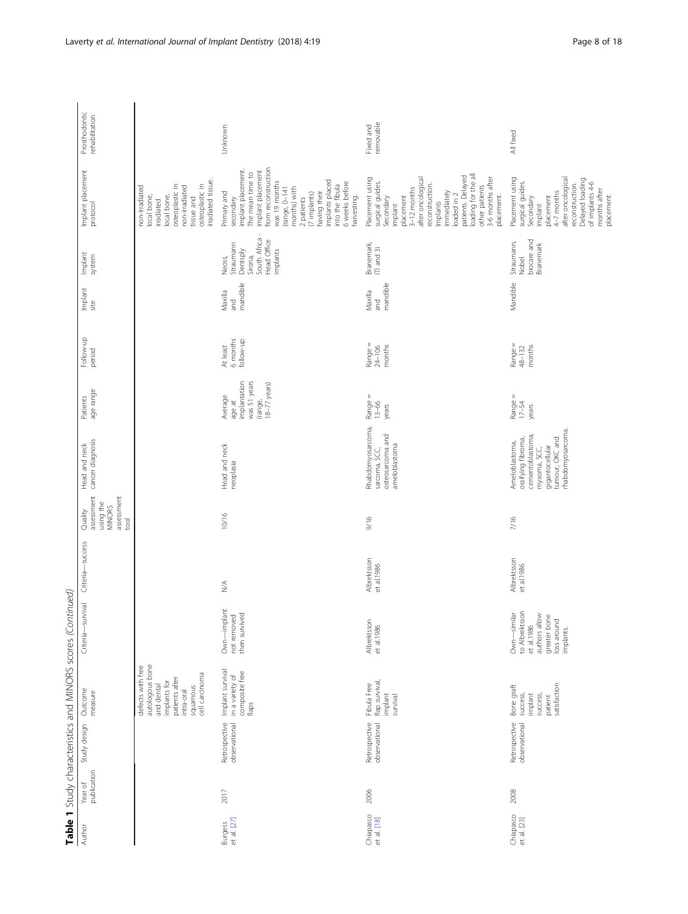|                          |                        |                                | Table 1 Study characteristics and MINORS scores (Continued)                                                                      |                                                                                                          |                           |                                                                    |                                                                                                                                      |                                                                              |                                   |                            |                                                                                         |                                                                                                                                                                                                                                                                                       |                                 |
|--------------------------|------------------------|--------------------------------|----------------------------------------------------------------------------------------------------------------------------------|----------------------------------------------------------------------------------------------------------|---------------------------|--------------------------------------------------------------------|--------------------------------------------------------------------------------------------------------------------------------------|------------------------------------------------------------------------------|-----------------------------------|----------------------------|-----------------------------------------------------------------------------------------|---------------------------------------------------------------------------------------------------------------------------------------------------------------------------------------------------------------------------------------------------------------------------------------|---------------------------------|
| Author                   | publication<br>Year of | Study design                   | Outcome<br>measure                                                                                                               | Criteria-survival                                                                                        | Criteria-success          | assessment<br>assessment<br>using the<br>MINORS<br>Quality<br>Tool | cancer diagnosis<br>Head and neck                                                                                                    | age range<br>Patients                                                        | Follow-up<br>period               | Implant<br>site            | Implant<br>system                                                                       | Implant placement<br>protocol                                                                                                                                                                                                                                                         | Prosthodontic<br>rehabilitation |
|                          |                        |                                | autologous bone<br>defects with free<br>cell carcinoma<br>patients after<br>implants for<br>and dental<br>squamous<br>intra-oral |                                                                                                          |                           |                                                                    |                                                                                                                                      |                                                                              |                                   |                            |                                                                                         | irradiated tissue.<br>osteoplastic in<br>osteoplastic in<br>non-irradiated<br>non-irradiated<br>local bone,<br>local bone,<br>tissue and<br>irradiated                                                                                                                                |                                 |
| Burgess<br>et al. [27]   | 2017                   | Retrospective<br>observational | Implant survival<br>composite free<br>in a variety of<br>flaps                                                                   | Own-implant<br>not removed<br>then survived                                                              | ≶                         | 10/16                                                              | Head and neck<br>neoplasia                                                                                                           | was 51 years<br>implantation<br>(range,<br>18–77 years)<br>Average<br>age at | 6 months<br>follow-up<br>At least | mandible<br>Maxilla<br>and | South Africa -<br>Head Office<br>Straumann<br>Dentsply<br>implants<br>Sirona,<br>Neoss, | from reconstruction<br>implant placement.<br>implant placement<br>The mean time to<br>implants placed<br>was 19 months<br>6 weeks before<br>into the fibula<br>(range, 0-141<br>months) with<br>Primary and<br>(7 implants)<br>having their<br>harvesting.<br>2 patients<br>secondary | Unknown                         |
| Chiapasco<br>et al. [18] | 2006                   | Retrospective<br>observational | flap survival,<br>implant<br>Fibula Free<br>survival                                                                             | Albrektsson<br>et al.1986                                                                                | Albrektsson<br>et al.1986 | 9/16                                                               | Rhabdomyosarcoma,<br>osteosarcoma and<br>ameloblastoma<br>sarcoma, SCC,                                                              | Range =<br>$13 - 66$<br>years                                                | Range =<br>months<br>$24 - 106$   | mandible<br>Maxilla<br>and | Branemark,<br>IT and 3i                                                                 | loading for the all<br>patients. Delayed<br>3-6 months after<br>Placement using<br>after oncological<br>surgical guides.<br>reconstruction.<br>other patients<br>$3-12$ months<br>immediately<br>placement.<br>loaded in 2<br>placement<br>Secondary<br>Implants<br>implant           | removable<br>Fixed and          |
| Chiapasco<br>et al. [23] | 2008                   | Retrospective<br>observational | satisfaction<br>Bone graft<br>implant<br>success,<br>success,<br>patient                                                         | Own—similar<br>to Albrektsson<br>authors allow<br>greater bone<br>loss around<br>et al.1986<br>implants. | Albrektsson<br>et al.1986 | 7/16                                                               | rhabdomyosar.coma.<br>cementoblastoma,<br>tumour, OKC and<br>ossifying fibroma,<br>Ameloblastoma,<br>gigantocellular<br>myxoma, SCC, | Range =<br>17-54<br>years                                                    | $Range = 48 - 132$<br>months      | Mandible                   | biocare and<br>Straumann,<br><b>Branemark</b><br>Nobel                                  | Placement using<br>after oncological<br>Delayed loading<br>of implants 4-6<br>surgical guides.<br>reconstruction.<br>months after<br>4-7 months<br>placement.<br>placement<br>Secondary<br>implant                                                                                    | All fixed                       |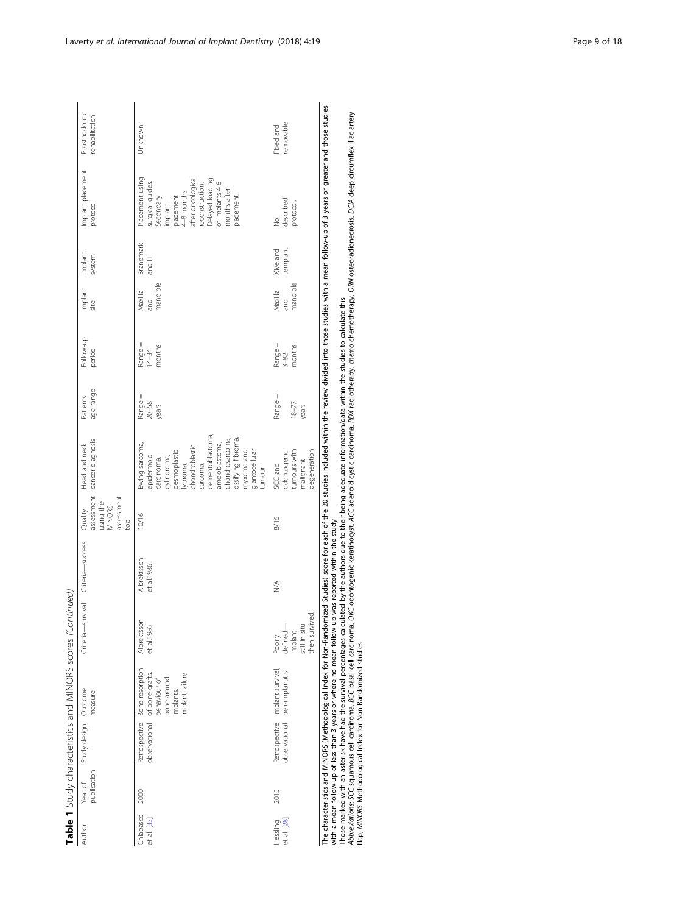|                          |                        |                      |                                                                                                                 | <b>CONSULTANCE - DIRECTS AND ARRANGEMENT CONSULTIVITY OF A PARTICLE OF A PARTICLE OF A PARTICLE OF A PARTICLE OF A PARTICLE OF A PARTICLE OF A PARTICLE OF A PARTICLE OF A PARTICLE OF A PARTICLE OF A PARTICLE OF A PARTICLE OF</b> |                           |                                                                           |                                                                                                                                                                                                                                              |                               |                               |                            |                      |                                                                                                                                                                                                                               |                                 |
|--------------------------|------------------------|----------------------|-----------------------------------------------------------------------------------------------------------------|--------------------------------------------------------------------------------------------------------------------------------------------------------------------------------------------------------------------------------------|---------------------------|---------------------------------------------------------------------------|----------------------------------------------------------------------------------------------------------------------------------------------------------------------------------------------------------------------------------------------|-------------------------------|-------------------------------|----------------------------|----------------------|-------------------------------------------------------------------------------------------------------------------------------------------------------------------------------------------------------------------------------|---------------------------------|
| Author                   | publication<br>Year of | Study design Outcome | measure                                                                                                         | Criteria-survival                                                                                                                                                                                                                    | Criteria-success          | assessment<br>assessment<br>using the<br><b>MINORS</b><br>Quality<br>tool | cancer diagnosis<br>Head and neck                                                                                                                                                                                                            | age range<br>Patients         | Follow-up<br>period           | Implant<br>site            | Implant<br>system    | Implant placement<br>protocol                                                                                                                                                                                                 | Prosthodontic<br>rehabilitation |
| Chiapasco<br>et al. [33] | 2000                   | observational        | Retrospective Bone resorption<br>implant failure<br>of bone grafts,<br>behaviour of<br>bone around<br>implants, | Albrektsson<br>et al.1986                                                                                                                                                                                                            | Albrektsson<br>et al.1986 | 10/16                                                                     | cementoblastoma,<br>ossifying fibroma,<br>chondrosarcoma,<br>ameloblastoma,<br>Ewing sarcoma,<br>chondroblastic<br>desmoplastic<br>myxoma and<br>giantocellular<br>cylindroma,<br>epidermoid<br>carcinoma,<br>fybroma,<br>sarcoma,<br>tumour | Range =<br>20-58<br>years     | Range =<br>14-34<br>months    | mandible<br>Maxilla<br>and | Branemark<br>and ITI | Placement using<br>after oncological<br>Delayed loading<br>surgical guides.<br>of implants 4-6<br>reconstruction.<br>months after<br>4-8 months<br>placement<br>placement<br>Secondary<br>implant                             | Unknown                         |
| et al. [28]<br>Hessling  | 2015                   | observational        | Retrospective Implant survival,<br>peri-implantitis                                                             | then survived.<br>still in situ<br>defined-<br>implant<br>Poorly                                                                                                                                                                     | ⋚                         | 8/16                                                                      | tumours with<br>degeneration<br>odontogenic<br>malignant<br>SCC and                                                                                                                                                                          | Range =<br>$18 - 77$<br>years | Range =<br>months<br>$3 - 82$ | mandible<br>Maxilla<br>and | templant<br>Xive and | described<br>protocol<br>$\frac{1}{2}$                                                                                                                                                                                        | removable<br>Fixed and          |
|                          |                        |                      |                                                                                                                 |                                                                                                                                                                                                                                      |                           |                                                                           |                                                                                                                                                                                                                                              |                               |                               |                            |                      | The characteristics and MINORS (Methodological Index for Non-Randomized Studies) score for each of the 20 studies included within the review divided into those studies with a mean follow-up of 3 years or greater and those |                                 |

and MINORS scores (Continued) **Table 1** Study characteristics and MINORS scores (Continued) Table 1 Study characterics

with a mean follow-up of less than 3 years or where no mean follow-up was reported within the study Those marked with an asterisk have had the survival percentages calculated by the authors due to their being adequate information/data within the studies to calculate this

with a mean follow-up of less than 3 years or where no mean follow-up was reported within the study.<br>Those marked with an asterisk have had the survival percentages calculated by the authors due to be individual<br>Abbreviati Abbreviations: SCC squamous cell carcinoma, BCC basal cell carcinoma, OKC odontogenic keratinocyst, ACC adenoid cystic carcinoma, RDX nadiotherapy, chemo chemotherapy, ORN osteoradionecrosis, DCIA deep circumflex iliac art flap, MINORS Methodological Index for Non-Randomized studies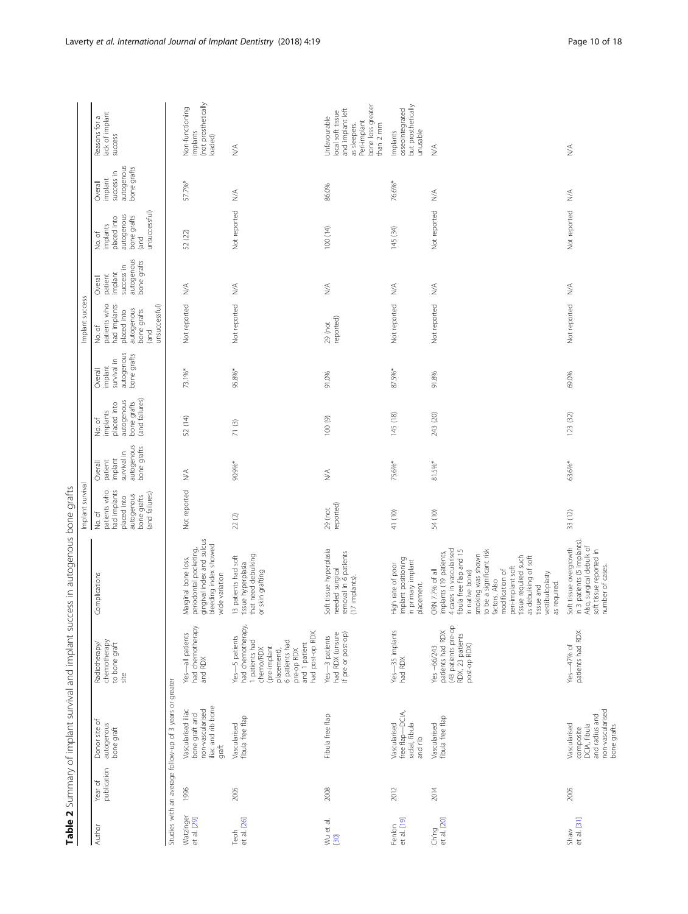<span id="page-9-0"></span>

|                          |                        |                                                                                                |                                                                                                                                                                        | Table 2 Summary of implant survival and implant success in autogenous bone grafts                                                                                                                                                                                                                                             |                                                                                                      |                                                                           |                                                                                  |                                                                |                                                                                                             |                                                                          |                                                                                         |                                                               |                                                                                                                         |
|--------------------------|------------------------|------------------------------------------------------------------------------------------------|------------------------------------------------------------------------------------------------------------------------------------------------------------------------|-------------------------------------------------------------------------------------------------------------------------------------------------------------------------------------------------------------------------------------------------------------------------------------------------------------------------------|------------------------------------------------------------------------------------------------------|---------------------------------------------------------------------------|----------------------------------------------------------------------------------|----------------------------------------------------------------|-------------------------------------------------------------------------------------------------------------|--------------------------------------------------------------------------|-----------------------------------------------------------------------------------------|---------------------------------------------------------------|-------------------------------------------------------------------------------------------------------------------------|
|                          |                        |                                                                                                |                                                                                                                                                                        |                                                                                                                                                                                                                                                                                                                               | Implant survival                                                                                     |                                                                           |                                                                                  |                                                                | Implant success                                                                                             |                                                                          |                                                                                         |                                                               |                                                                                                                         |
| Author                   | publication<br>Year of | Donor site of<br>autogenous<br>bone graft                                                      | chemotherapy<br>to bone graft<br>Radiotherapy<br>site                                                                                                                  | Complications                                                                                                                                                                                                                                                                                                                 | had implants<br>patients who<br>(and failures)<br>autogenous<br>placed into<br>bone grafts<br>No. of | autogenous<br>bone grafts<br>survival in<br>implant<br>patient<br>Overall | bone grafts<br>(and failures)<br>autogenous<br>placed into<br>implants<br>No. of | autogenous<br>bone grafts<br>survival in<br>implant<br>Overall | patients who<br>had implants<br>unsuccessful)<br>autogenous<br>bone grafts<br>(and<br>placed into<br>No. of | autogenous<br>bone grafts<br>success in<br>implant<br>patient<br>Overall | unsuccessful)<br>autogenous<br>bone grafts<br>placed into<br>implants<br>No. of<br>(and | autogenous<br>bone grafts<br>success in<br>implant<br>Overall | lack of implant<br>Reasons for a<br>success                                                                             |
|                          |                        | Studies with an average follow-up of 3 years or greater                                        |                                                                                                                                                                        |                                                                                                                                                                                                                                                                                                                               |                                                                                                      |                                                                           |                                                                                  |                                                                |                                                                                                             |                                                                          |                                                                                         |                                                               |                                                                                                                         |
| Watzinger<br>et al. [29] | 1996                   | iliac and rib bone<br>Vascularised iliac<br>non-vascularised<br>bone graft and<br>graft        | had chemotherapy<br>and RDX<br>-all patients<br>Yes-                                                                                                                   | gingival index and sulcus<br>bleeding index showed<br>periodontal pocketing,<br>Marginal bone loss,<br>wide variation                                                                                                                                                                                                         | Not reported                                                                                         | ≶                                                                         | 52 (14)                                                                          | 73.1%*                                                         | Not reported                                                                                                | $\stackrel{\triangleleft}{\geq}$                                         | 52 (22)                                                                                 | 57.7%*                                                        | (not prosthetically<br>loaded)<br>Non-functioning<br>implants                                                           |
| et al. [26]<br>Teoh      | 2005                   | fibula free flap<br>Vascularised                                                               | had chemotherapy,<br>had post-op RDX.<br>Yes-5 patients<br>1 patients had<br>6 patients had<br>and 1 patient<br>(pre-implant<br>chemo/RDX<br>pre-op RDX<br>placement), | that need debulking<br>13 patients had soft<br>tissue hyperplasia<br>or skin grafting                                                                                                                                                                                                                                         | 22(2)                                                                                                | 90.9%*                                                                    | 71(3)                                                                            | 95.8%*                                                         | Not reported                                                                                                | ≶                                                                        | Not reported                                                                            | ≶                                                             | ś                                                                                                                       |
| Wu et al.<br>[30]        | 2008                   | Fibula free flap                                                                               | had RDX (unsure<br>if pre or post-op)<br>Yes-3 patients                                                                                                                | Soft tissue hyperplasia<br>needed surgical<br>removal in 6 patients<br>(17 implants)                                                                                                                                                                                                                                          | reported)<br>29 (not                                                                                 | ≶                                                                         | 100 (9)                                                                          | 91.0%                                                          | reported)<br>29 (not                                                                                        | ≶                                                                        | 100 (14)                                                                                | 86.0%                                                         | bone loss greater<br>and implant left<br>local soft tissue<br>Unfavourable<br>Peri-implant<br>as sleepers.<br>than 2 mm |
| Fenlon<br>et al. [19]    | 2012                   | Vascularised<br>free flap—DCIA,<br>radial, fibula<br>and rib                                   | Yes-35 implants<br>had RDX                                                                                                                                             | implant positioning<br>in primary implant<br>High rate of poor<br>placement.                                                                                                                                                                                                                                                  | 41 (10)                                                                                              | 75.6%*                                                                    | 145 (18)                                                                         | 87.5%*                                                         | Not reported                                                                                                | ≶                                                                        | 145 (34)                                                                                | 76.6%*                                                        | but prosthetically<br>osseointegrated<br>unusable<br>Implants                                                           |
| Ch'ng<br>et al. [20]     | 2014                   | fibula free flap<br>Vascularised                                                               | (43 patients pre-op<br>patients had RDX<br>RDX, 23 patients<br>post-op RDX)<br>$Yes - 66/243$                                                                          | fibula free flap and 15<br>4 cases in vascularised<br>to be a significant risk<br>implants (19 patients,<br>smoking was shown<br>tissue required such<br>as debulking of soft<br>peri-implant soft<br>ORN 7.7% of all<br>modification of<br>in native bone)<br>vestibuloplasty<br>factors. Also<br>as required.<br>tissue and | 54 (10)                                                                                              | 81.5%*                                                                    | 243 (20)                                                                         | 91.8%                                                          | Not reported                                                                                                | ⋚                                                                        | Not reported                                                                            | ≶                                                             | $\lessapprox$                                                                                                           |
| et al. [31]<br>Shaw      | 2005                   | non-vascularised<br>bone grafts<br>and radius and<br>Vascularised<br>composite<br>DCIA, fibula | patients had RDX<br>Yes-47% of                                                                                                                                         | in 3 patients (5 implants).<br>Also, surgical debulk of<br>Soft tissue overgrowth<br>soft tissue reported in<br>number of cases.                                                                                                                                                                                              | 33 (12)                                                                                              | 63.6%*                                                                    | 123 (32)                                                                         | 69.0%                                                          | Not reported                                                                                                | ≶                                                                        | Not reported                                                                            | ₹                                                             | $\stackrel{\triangleleft}{\geq}$                                                                                        |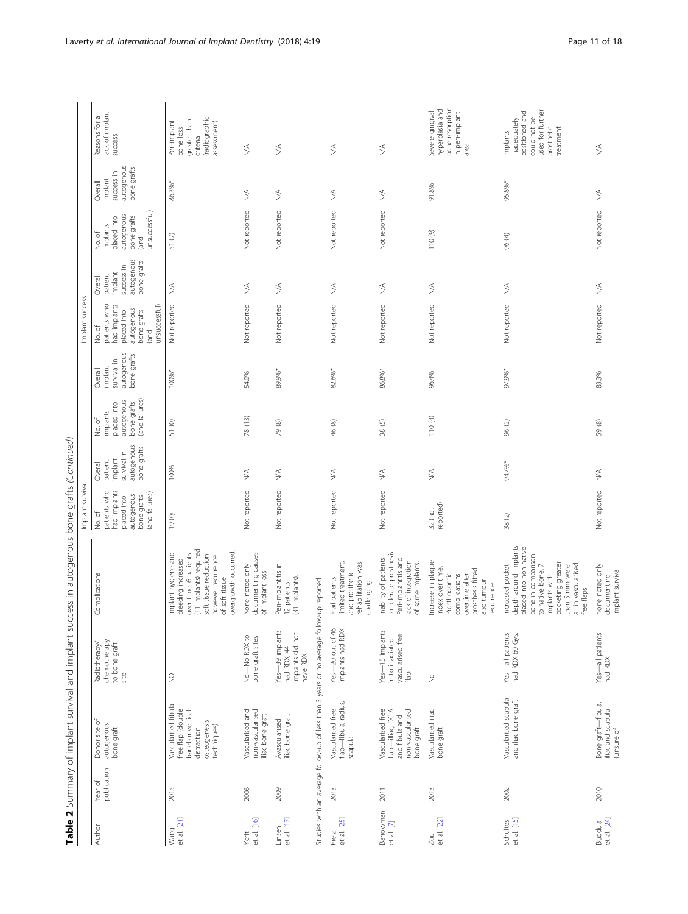| I                    |
|----------------------|
| ١                    |
| j<br>ì<br>١<br>ľ     |
| $\ddot{\phantom{a}}$ |
| i<br>١               |
|                      |
|                      |
|                      |
|                      |
|                      |
| ţ<br>l               |
| ī<br>I               |

|                               |                        |                                                                                                              |                                                                  |                                                                                                                                                                                                             | Implant survival                                                                                     |                                                                           |                                                                                  |                                                                | Implant success                                                                                             |                                                                          |                                                                                         |                                                               |                                                                                                           |
|-------------------------------|------------------------|--------------------------------------------------------------------------------------------------------------|------------------------------------------------------------------|-------------------------------------------------------------------------------------------------------------------------------------------------------------------------------------------------------------|------------------------------------------------------------------------------------------------------|---------------------------------------------------------------------------|----------------------------------------------------------------------------------|----------------------------------------------------------------|-------------------------------------------------------------------------------------------------------------|--------------------------------------------------------------------------|-----------------------------------------------------------------------------------------|---------------------------------------------------------------|-----------------------------------------------------------------------------------------------------------|
| Author                        | publication<br>Year of | Donor site of<br>autogenous<br>bone graft                                                                    | chemotherapy<br>to bone graft<br>Radiotherapy/<br>site           | Complications                                                                                                                                                                                               | patients who<br>had implants<br>(and failures)<br>autogenous<br>placed into<br>bone grafts<br>No. of | autogenous<br>bone grafts<br>survival in<br>implant<br>patient<br>Overall | bone grafts<br>(and failures)<br>autogenous<br>placed into<br>implants<br>No. of | autogenous<br>bone grafts<br>survival in<br>implant<br>Overall | patients who<br>had implants<br>unsuccessful)<br>autogenous<br>bone grafts<br>placed into<br>No. of<br>land | autogenous<br>bone grafts<br>success in<br>implant<br>patient<br>Overall | unsuccessful)<br>autogenous<br>bone grafts<br>(and<br>placed into<br>implants<br>No. of | autogenous<br>bone grafts<br>success in<br>implant<br>Overall | lack of implant<br>Reasons for a<br>success                                                               |
| et al. [21]<br>Wang           | 2015                   | Vascularised fibula<br>free flap (double<br>barrel or vertical<br>osteogenesis<br>techniques)<br>distraction | $\frac{1}{2}$                                                    | (11 implants) required<br>overgrowth occurred.<br>Implant hygiene and<br>over time. 6 patients<br>soft tissue reduction<br>however recurrence<br>bleeding increased<br>of soft tissue                       | $(0)$ 61                                                                                             | 100%                                                                      | 51(0)                                                                            | 100%*                                                          | Not reported                                                                                                | ≫                                                                        | 51(7)                                                                                   | 86.3%*                                                        | (radiographic<br>greater than<br>Peri-implant<br>assessment)<br>bone loss<br>criteria                     |
| et al. [16]<br>Yerit          | 2006                   | Vascularised and<br>non-vascularised<br>iliac bone graft                                                     | No-No RDX to<br>bone graft sites                                 | documenting causes<br>None noted only<br>of implant loss                                                                                                                                                    | Not reported                                                                                         | ≶                                                                         | 78 (13)                                                                          | 54.0%                                                          | Not reported                                                                                                | ≶                                                                        | Not reported                                                                            | $\lessgtr$                                                    | $\lessgtr$                                                                                                |
| et al. [17]<br>Linsen         | 2009                   | iliac bone graft<br>Avascularised                                                                            | Yes-39 implants<br>implants did not<br>had RDX, 44<br>have RDX   | Peri-implantitis in<br>(31 implants).<br>12 patients                                                                                                                                                        | Not reported                                                                                         | ≶                                                                         | 79 (8)                                                                           | 89.9%*                                                         | Not reported                                                                                                | ≶                                                                        | Not reported                                                                            | ≶                                                             | ≶                                                                                                         |
|                               |                        | Studies with an average follow-up of less than 3 years or no average follow-up reported                      |                                                                  |                                                                                                                                                                                                             |                                                                                                      |                                                                           |                                                                                  |                                                                |                                                                                                             |                                                                          |                                                                                         |                                                               |                                                                                                           |
| et al. [25]<br>Fierz          | 2013                   | flap-fibula, radius,<br>Vascularised free<br>scapula                                                         | Yes $-20$ out of 46<br>implants had RDX                          | limited treatment,<br>rehabilitation was<br>and prosthetic<br>Frail patients<br>challenging                                                                                                                 | Not reported                                                                                         | ≶                                                                         | 46 (8)                                                                           | 82.6%*                                                         | Not reported                                                                                                | $\lessgtr$                                                               | Not reported                                                                            | $\lessapprox$                                                 | $\lessgtr$                                                                                                |
| Barrowman<br>et al. [7]       | 2011                   | Vascularised free<br>flap—illiac, DCIA<br>and fibula and<br>non-vascularised<br>bone graft.                  | Yes-15 implants<br>vascularised free<br>in to irradiated<br>flap | to tolerate prosthesis.<br>Inability of patients<br>Peri-implantitis and<br>lack of integration<br>of some implants.                                                                                        | Not reported                                                                                         | $\stackrel{\leq}{\geq}$                                                   | 38(5)                                                                            | 86.8%*                                                         | Not reported                                                                                                | $\lessgtr$                                                               | Not reported                                                                            | $\lessgtr$                                                    | $\lessgtr$                                                                                                |
| et al. [22]<br>Zou            | 2013                   | Vascularised iliac<br>bone graft                                                                             | ž                                                                | Increase in plaque<br>index over time.<br>prosthesis fitted<br>Prosthodontic<br>complications<br>overtime after<br>also tumour<br>recurrence                                                                | reported)<br>32 (not                                                                                 | ⋚                                                                         | 110(4)                                                                           | 96.4%                                                          | Not reported                                                                                                | ⋚                                                                        | 110(9)                                                                                  | 91.8%                                                         | bone resorption<br>hyperplasia and<br>Severe gingival<br>in peri-implant<br>area                          |
| et al. [15]<br>Schultes       | 2002                   | Vascularised scapula<br>and iliac bone graft                                                                 | Yes-all patients<br>had RDX 60 Gys.                              | depth around implants<br>placed into non-native<br>bone in comparison<br>pocketing greater<br>all in vascularised<br>to native bone. 7<br>Increased pocket<br>than 5 mm were<br>implants with<br>free flaps | 38(2)                                                                                                | 94.7%*                                                                    | 96(2)                                                                            | 97.9%*                                                         | Not reported                                                                                                | ≶                                                                        | 96 (4)                                                                                  | 95.8%*                                                        | used for further<br>positioned and<br>could not be<br>inadequately<br>prosthetic<br>treatment<br>Implants |
| et al. [24]<br><b>Buddula</b> | 2010                   | Bone graft-fibula,<br>iliac and scapula<br>(unsure of                                                        | Yes-all patients<br>had RDX                                      | None noted only<br>implant survival<br>documenting                                                                                                                                                          | Not reported                                                                                         | $\stackrel{\leq}{\geq}$                                                   | 59 (8)                                                                           | 83.3%                                                          | Not reported                                                                                                | $\lessgtr$                                                               | Not reported                                                                            | $\frac{1}{2}$                                                 | $\lessapprox$                                                                                             |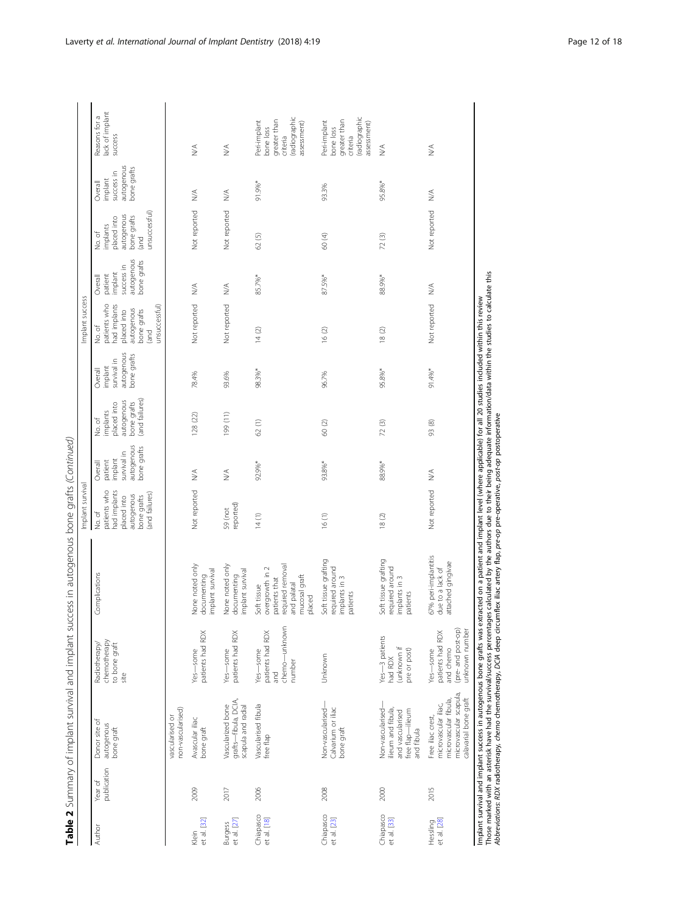| $\ddot{\phantom{a}}$                                                        |
|-----------------------------------------------------------------------------|
| $\frac{1}{2}$<br>$\overline{a}$                                             |
| $\overline{a}$<br>i<br>İ<br>$\mathbf{r}$                                    |
| י יי פי פי יי<br>Į                                                          |
| $\frac{1}{2}$<br>$\ddot{\phantom{a}}$<br>)<br>)<br>)<br>Ï<br>$\overline{a}$ |
|                                                                             |
| י בוור הווד הווד<br>:<br>) ) )<br>) )                                       |
|                                                                             |
|                                                                             |
|                                                                             |
| l<br>.<br>.<br>.                                                            |
|                                                                             |
| ş                                                                           |
|                                                                             |
| $\frac{1}{2}$                                                               |
|                                                                             |
| ׇֺ֖֕֕֓֬֓֬֓֓                                                                 |
| $\overline{\phantom{a}}$                                                    |
|                                                                             |
|                                                                             |
|                                                                             |
|                                                                             |
| $Table 2 \times$<br>ľ                                                       |
|                                                                             |

|                          |                        |                                                                                                                       |                                                                                   |                                                                                                                                                                                                                                                                                                                                                                                                                                                                                                                  | Implant survival                                                                                     |                                                                           |                                                                                  |                                                                | Implant success                                                                                             |                                                                          |                                                                                         |                                                               |                                                                                       |
|--------------------------|------------------------|-----------------------------------------------------------------------------------------------------------------------|-----------------------------------------------------------------------------------|------------------------------------------------------------------------------------------------------------------------------------------------------------------------------------------------------------------------------------------------------------------------------------------------------------------------------------------------------------------------------------------------------------------------------------------------------------------------------------------------------------------|------------------------------------------------------------------------------------------------------|---------------------------------------------------------------------------|----------------------------------------------------------------------------------|----------------------------------------------------------------|-------------------------------------------------------------------------------------------------------------|--------------------------------------------------------------------------|-----------------------------------------------------------------------------------------|---------------------------------------------------------------|---------------------------------------------------------------------------------------|
| Author                   | publication<br>Year of | Donor site of<br>autogenous<br>bone graft                                                                             | chemotherapy<br>Radiotherapy/<br>to bone graft<br>site                            | Complications                                                                                                                                                                                                                                                                                                                                                                                                                                                                                                    | patients who<br>had implants<br>(and failures)<br>autogenous<br>placed into<br>bone grafts<br>No. of | autogenous<br>bone grafts<br>survival in<br>implant<br>patient<br>Overall | (and failures)<br>autogenous<br>bone grafts<br>placed into<br>implants<br>No. of | autogenous<br>bone grafts<br>survival in<br>implant<br>Overall | patients who<br>had implants<br>unsuccessful)<br>autogenous<br>bone grafts<br>placed into<br>No. of<br>land | autogenous<br>bone grafts<br>success in<br>implant<br>patient<br>Overall | unsuccessful)<br>autogenous<br>bone grafts<br>placed into<br>implants<br>No. of<br>(and | autogenous<br>bone grafts<br>success in<br>implant<br>Overall | lack of implant<br>Reasons for a<br>success                                           |
|                          |                        | non-vascularised)<br>vascularised or                                                                                  |                                                                                   |                                                                                                                                                                                                                                                                                                                                                                                                                                                                                                                  |                                                                                                      |                                                                           |                                                                                  |                                                                |                                                                                                             |                                                                          |                                                                                         |                                                               |                                                                                       |
| et al. [32]<br>Klein     | 2009                   | Avascular iliac<br>bone graft                                                                                         | patients had RDX<br>Yes-some                                                      | None noted only<br>implant survival<br>documenting                                                                                                                                                                                                                                                                                                                                                                                                                                                               | Not reported                                                                                         | ≸                                                                         | 128 (22)                                                                         | 78.4%                                                          | Not reported                                                                                                | ≸                                                                        | Not reported                                                                            | ≸                                                             | ⋚                                                                                     |
| Burgess<br>et al. [27]   | 2017                   | grafts-fibula, DCIA,<br>Vascularized bone<br>scapula and radial                                                       | patients had RDX<br>Yes-some                                                      | None noted only<br>implant survival<br>documenting                                                                                                                                                                                                                                                                                                                                                                                                                                                               | reported)<br>59 (not                                                                                 | $\lessgtr$                                                                | (11) 661                                                                         | 93.6%                                                          | Not reported                                                                                                | ≶                                                                        | Not reported                                                                            | ⋚                                                             | $\lessapprox$                                                                         |
| Chiapasco<br>et al. [18] | 2006                   | Vascularised fibula<br>free flap                                                                                      | chemo-unknown<br>patients had RDX<br>Yes-some<br>number<br>and                    | required removal<br>overgrowth in 2<br>mucosal graft<br>patients that<br>and palatal<br>Soft tissue<br>placed                                                                                                                                                                                                                                                                                                                                                                                                    | 14(1)                                                                                                | 92.9%*                                                                    | 62(1)                                                                            | 98.3%*                                                         | $14(2)$                                                                                                     | 85.7%*                                                                   | 62 (5)                                                                                  | 91.9%*                                                        | tadiographic<br>greater than<br>Peri-implant<br>assessment)<br>bone loss<br>criteria  |
| Chiapasco<br>et al. [23] | 2008                   | Non-vascularised-<br>Calvarium or iliac<br>bone graft                                                                 | Unknown                                                                           | Soft tissue grafting<br>required around<br>implants in 3<br>patients                                                                                                                                                                                                                                                                                                                                                                                                                                             | 16(1)                                                                                                | 93.8%*                                                                    | $60(2)$                                                                          | 96.7%                                                          | 16(2)                                                                                                       | 87.5%*                                                                   | 60 (4)                                                                                  | 93.3%                                                         | (radiographic<br>greater than<br>Peri-implant<br>assessment)<br>bone loss<br>criteria |
| Chiapasco<br>et al. [33] | 2000                   | lieum and fibula,<br>Non-vascularised<br>free flap-ilieum<br>and vascularised<br>and fibula                           | Yes-3 patients<br>(unknown if<br>pre or post)<br>had RDX                          | Soft tissue grafting<br>required around<br>implants in 3<br>patients                                                                                                                                                                                                                                                                                                                                                                                                                                             | 18(2)                                                                                                | 88.9%*                                                                    | 72(3)                                                                            | 95.8%*                                                         | 18(2)                                                                                                       | 88.9%*                                                                   | 72(3)                                                                                   | 95.8%*                                                        | ≸                                                                                     |
| et al. [28]<br>Hessling  | 2015                   | microvascular scapula,<br>calavarial bone graft<br>microvascular fibula,<br>microvascular iliac,<br>Free iliac crest, | (pre- and post-op)<br>unknown number<br>patients had RDX<br>and chemo<br>Yes-some | 67% peri-implantitis<br>attached gingivae<br>due to a lack of                                                                                                                                                                                                                                                                                                                                                                                                                                                    | Not reported                                                                                         | ≶                                                                         | 93 (8)                                                                           | 91.4%*                                                         | Not reported                                                                                                | $\stackrel{\triangleleft}{\geq}$                                         | Not reported                                                                            | ≶                                                             | ≶                                                                                     |
|                          |                        |                                                                                                                       |                                                                                   | Those marked with an asterisk have had the survival/success percentages calculated by the authors due to their being adequate information/data within the studies to calculate this<br>Implant survival and implant success in autogenous bone grafts was extracted on a patient and implant level (where applicable) for all 20 studies included within this review<br>Abbreviations: RDX radiotherapy, chemo chemotherapy, DCIA deep circumflex iliac artery flap, pre-op pre-operative, post-op postoperative |                                                                                                      |                                                                           |                                                                                  |                                                                |                                                                                                             |                                                                          |                                                                                         |                                                               |                                                                                       |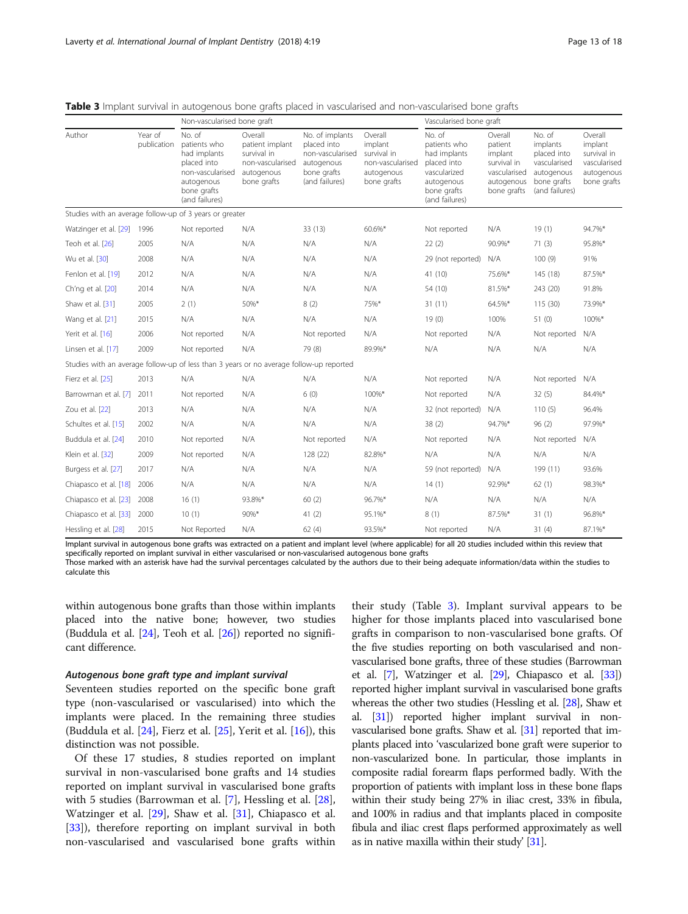|                                                                                         |                        | Non-vascularised bone graft                                                                                              |                                                                                            |                                                                                                   |                                                                                    | Vascularised bone graft                                                                                              |                                                                                           |                                                                                                  |                                                                                |
|-----------------------------------------------------------------------------------------|------------------------|--------------------------------------------------------------------------------------------------------------------------|--------------------------------------------------------------------------------------------|---------------------------------------------------------------------------------------------------|------------------------------------------------------------------------------------|----------------------------------------------------------------------------------------------------------------------|-------------------------------------------------------------------------------------------|--------------------------------------------------------------------------------------------------|--------------------------------------------------------------------------------|
| Author                                                                                  | Year of<br>publication | No. of<br>patients who<br>had implants<br>placed into<br>non-vascularised<br>autogenous<br>bone grafts<br>(and failures) | Overall<br>patient implant<br>survival in<br>non-vascularised<br>autogenous<br>bone grafts | No. of implants<br>placed into<br>non-vascularised<br>autogenous<br>bone grafts<br>(and failures) | Overall<br>implant<br>survival in<br>non-vascularised<br>autogenous<br>bone grafts | No. of<br>patients who<br>had implants<br>placed into<br>vascularized<br>autogenous<br>bone grafts<br>(and failures) | Overall<br>patient<br>implant<br>survival in<br>vascularised<br>autogenous<br>bone grafts | No. of<br>implants<br>placed into<br>vascularised<br>autogenous<br>bone grafts<br>(and failures) | Overall<br>implant<br>survival in<br>vascularised<br>autogenous<br>bone grafts |
| Studies with an average follow-up of 3 years or greater                                 |                        |                                                                                                                          |                                                                                            |                                                                                                   |                                                                                    |                                                                                                                      |                                                                                           |                                                                                                  |                                                                                |
| Watzinger et al. [29] 1996                                                              |                        | Not reported                                                                                                             | N/A                                                                                        | 33 (13)                                                                                           | 60.6%*                                                                             | Not reported                                                                                                         | N/A                                                                                       | 19(1)                                                                                            | 94.7%*                                                                         |
| Teoh et al. [26]                                                                        | 2005                   | N/A                                                                                                                      | N/A                                                                                        | N/A                                                                                               | N/A                                                                                | 22(2)                                                                                                                | 90.9%*                                                                                    | 71(3)                                                                                            | 95.8%*                                                                         |
| Wu et al. [30]                                                                          | 2008                   | N/A                                                                                                                      | N/A                                                                                        | N/A                                                                                               | N/A                                                                                | 29 (not reported)                                                                                                    | N/A                                                                                       | 100(9)                                                                                           | 91%                                                                            |
| Fenlon et al. [19]                                                                      | 2012                   | N/A                                                                                                                      | N/A                                                                                        | N/A                                                                                               | N/A                                                                                | 41 (10)                                                                                                              | 75.6%*                                                                                    | 145 (18)                                                                                         | 87.5%*                                                                         |
| Ch'ng et al. [20]                                                                       | 2014                   | N/A                                                                                                                      | N/A                                                                                        | N/A                                                                                               | N/A                                                                                | 54 (10)                                                                                                              | 81.5%*                                                                                    | 243 (20)                                                                                         | 91.8%                                                                          |
| Shaw et al. [31]                                                                        | 2005                   | 2(1)                                                                                                                     | 50%*                                                                                       | 8(2)                                                                                              | 75%*                                                                               | 31(11)                                                                                                               | 64.5%*                                                                                    | 115 (30)                                                                                         | 73.9%*                                                                         |
| Wang et al. [21]                                                                        | 2015                   | N/A                                                                                                                      | N/A                                                                                        | N/A                                                                                               | N/A                                                                                | 19(0)                                                                                                                | 100%                                                                                      | 51(0)                                                                                            | 100%*                                                                          |
| Yerit et al. [16]                                                                       | 2006                   | Not reported                                                                                                             | N/A                                                                                        | Not reported                                                                                      | N/A                                                                                | Not reported                                                                                                         | N/A                                                                                       | Not reported                                                                                     | N/A                                                                            |
| Linsen et al. [17]                                                                      | 2009                   | Not reported                                                                                                             | N/A                                                                                        | 79 (8)                                                                                            | 89.9%*                                                                             | N/A                                                                                                                  | N/A                                                                                       | N/A                                                                                              | N/A                                                                            |
| Studies with an average follow-up of less than 3 years or no average follow-up reported |                        |                                                                                                                          |                                                                                            |                                                                                                   |                                                                                    |                                                                                                                      |                                                                                           |                                                                                                  |                                                                                |
| Fierz et al. [25]                                                                       | 2013                   | N/A                                                                                                                      | N/A                                                                                        | N/A                                                                                               | N/A                                                                                | Not reported                                                                                                         | N/A                                                                                       | Not reported                                                                                     | N/A                                                                            |
| Barrowman et al. [7]                                                                    | 2011                   | Not reported                                                                                                             | N/A                                                                                        | 6(0)                                                                                              | 100%*                                                                              | Not reported                                                                                                         | N/A                                                                                       | 32(5)                                                                                            | 84.4%*                                                                         |
| Zou et al. [22]                                                                         | 2013                   | N/A                                                                                                                      | N/A                                                                                        | N/A                                                                                               | N/A                                                                                | 32 (not reported)                                                                                                    | N/A                                                                                       | 110(5)                                                                                           | 96.4%                                                                          |
| Schultes et al. [15]                                                                    | 2002                   | N/A                                                                                                                      | N/A                                                                                        | N/A                                                                                               | N/A                                                                                | 38(2)                                                                                                                | 94.7%*                                                                                    | 96(2)                                                                                            | 97.9%*                                                                         |
| Buddula et al. [24]                                                                     | 2010                   | Not reported                                                                                                             | N/A                                                                                        | Not reported                                                                                      | N/A                                                                                | Not reported                                                                                                         | N/A                                                                                       | Not reported                                                                                     | N/A                                                                            |
| Klein et al. [32]                                                                       | 2009                   | Not reported                                                                                                             | N/A                                                                                        | 128 (22)                                                                                          | 82.8%*                                                                             | N/A                                                                                                                  | N/A                                                                                       | N/A                                                                                              | N/A                                                                            |
| Burgess et al. [27]                                                                     | 2017                   | N/A                                                                                                                      | N/A                                                                                        | N/A                                                                                               | N/A                                                                                | 59 (not reported)                                                                                                    | N/A                                                                                       | 199 (11)                                                                                         | 93.6%                                                                          |
| Chiapasco et al. [18]                                                                   | 2006                   | N/A                                                                                                                      | N/A                                                                                        | N/A                                                                                               | N/A                                                                                | 14(1)                                                                                                                | 92.9%*                                                                                    | 62(1)                                                                                            | 98.3%*                                                                         |
| Chiapasco et al. [23]                                                                   | 2008                   | 16(1)                                                                                                                    | 93.8%*                                                                                     | 60(2)                                                                                             | 96.7%*                                                                             | N/A                                                                                                                  | N/A                                                                                       | N/A                                                                                              | N/A                                                                            |
| Chiapasco et al. [33]                                                                   | 2000                   | 10(1)                                                                                                                    | 90%*                                                                                       | 41 $(2)$                                                                                          | 95.1%*                                                                             | 8(1)                                                                                                                 | 87.5%*                                                                                    | 31(1)                                                                                            | 96.8%*                                                                         |
| Hessling et al. [28]                                                                    | 2015                   | Not Reported                                                                                                             | N/A                                                                                        | 62(4)                                                                                             | 93.5%*                                                                             | Not reported                                                                                                         | N/A                                                                                       | 31(4)                                                                                            | 87.1%*                                                                         |

<span id="page-12-0"></span>Table 3 Implant survival in autogenous bone grafts placed in vascularised and non-vascularised bone grafts

Implant survival in autogenous bone grafts was extracted on a patient and implant level (where applicable) for all 20 studies included within this review that specifically reported on implant survival in either vascularised or non-vascularised autogenous bone grafts

Those marked with an asterisk have had the survival percentages calculated by the authors due to their being adequate information/data within the studies to calculate this

within autogenous bone grafts than those within implants placed into the native bone; however, two studies (Buddula et al. [\[24\]](#page-17-0), Teoh et al. [\[26\]](#page-17-0)) reported no significant difference.

## Autogenous bone graft type and implant survival

Seventeen studies reported on the specific bone graft type (non-vascularised or vascularised) into which the implants were placed. In the remaining three studies (Buddula et al.  $[24]$ , Fierz et al.  $[25]$  $[25]$  $[25]$ , Yerit et al.  $[16]$  $[16]$  $[16]$ ), this distinction was not possible.

Of these 17 studies, 8 studies reported on implant survival in non-vascularised bone grafts and 14 studies reported on implant survival in vascularised bone grafts with 5 studies (Barrowman et al. [[7\]](#page-16-0), Hessling et al. [\[28](#page-17-0)], Watzinger et al. [\[29](#page-17-0)], Shaw et al. [\[31](#page-17-0)], Chiapasco et al. [[33\]](#page-17-0)), therefore reporting on implant survival in both non-vascularised and vascularised bone grafts within

their study (Table 3). Implant survival appears to be higher for those implants placed into vascularised bone grafts in comparison to non-vascularised bone grafts. Of the five studies reporting on both vascularised and nonvascularised bone grafts, three of these studies (Barrowman et al. [\[7\]](#page-16-0), Watzinger et al. [\[29](#page-17-0)], Chiapasco et al. [\[33](#page-17-0)]) reported higher implant survival in vascularised bone grafts whereas the other two studies (Hessling et al. [\[28](#page-17-0)], Shaw et al. [\[31](#page-17-0)]) reported higher implant survival in nonvascularised bone grafts. Shaw et al. [[31](#page-17-0)] reported that implants placed into 'vascularized bone graft were superior to non-vascularized bone. In particular, those implants in composite radial forearm flaps performed badly. With the proportion of patients with implant loss in these bone flaps within their study being 27% in iliac crest, 33% in fibula, and 100% in radius and that implants placed in composite fibula and iliac crest flaps performed approximately as well as in native maxilla within their study' [\[31](#page-17-0)].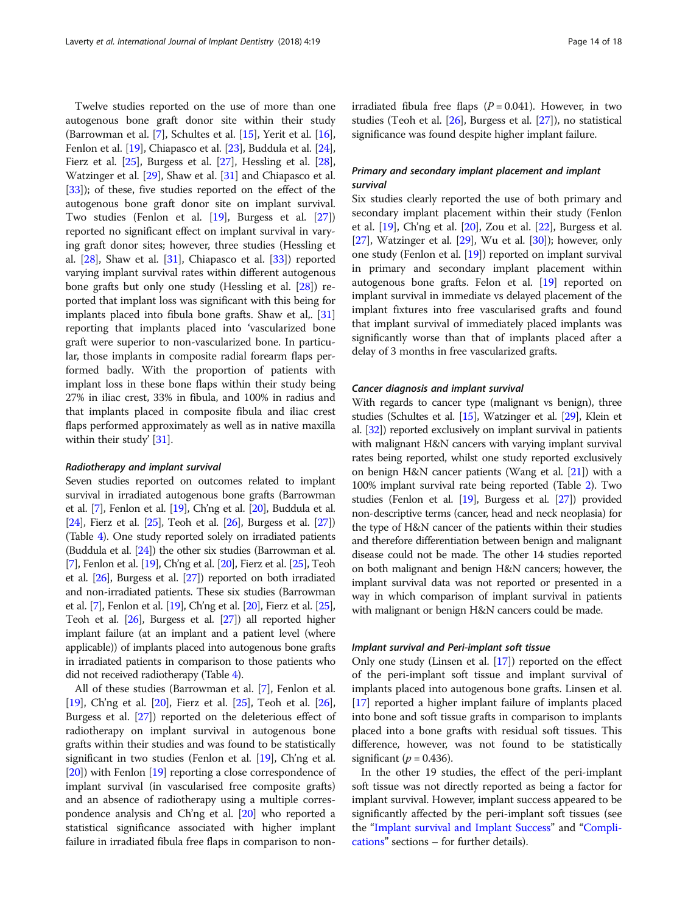Twelve studies reported on the use of more than one autogenous bone graft donor site within their study (Barrowman et al. [\[7\]](#page-16-0), Schultes et al. [\[15\]](#page-17-0), Yerit et al. [[16](#page-17-0)], Fenlon et al. [[19](#page-17-0)], Chiapasco et al. [[23](#page-17-0)], Buddula et al. [[24](#page-17-0)], Fierz et al. [\[25](#page-17-0)], Burgess et al. [\[27](#page-17-0)], Hessling et al. [[28](#page-17-0)], Watzinger et al. [[29](#page-17-0)], Shaw et al. [[31](#page-17-0)] and Chiapasco et al. [[33](#page-17-0)]); of these, five studies reported on the effect of the autogenous bone graft donor site on implant survival. Two studies (Fenlon et al. [\[19\]](#page-17-0), Burgess et al. [[27](#page-17-0)]) reported no significant effect on implant survival in varying graft donor sites; however, three studies (Hessling et al. [[28](#page-17-0)], Shaw et al. [[31](#page-17-0)], Chiapasco et al. [\[33\]](#page-17-0)) reported varying implant survival rates within different autogenous bone grafts but only one study (Hessling et al. [\[28\]](#page-17-0)) reported that implant loss was significant with this being for implants placed into fibula bone grafts. Shaw et al,. [[31](#page-17-0)] reporting that implants placed into 'vascularized bone graft were superior to non-vascularized bone. In particular, those implants in composite radial forearm flaps performed badly. With the proportion of patients with implant loss in these bone flaps within their study being 27% in iliac crest, 33% in fibula, and 100% in radius and that implants placed in composite fibula and iliac crest flaps performed approximately as well as in native maxilla within their study' [\[31\]](#page-17-0).

# Radiotherapy and implant survival

Seven studies reported on outcomes related to implant survival in irradiated autogenous bone grafts (Barrowman et al. [[7](#page-16-0)], Fenlon et al. [[19](#page-17-0)], Ch'ng et al. [\[20\]](#page-17-0), Buddula et al. [[24](#page-17-0)], Fierz et al. [\[25\]](#page-17-0), Teoh et al. [\[26\]](#page-17-0), Burgess et al. [\[27](#page-17-0)]) (Table [4](#page-14-0)). One study reported solely on irradiated patients (Buddula et al. [[24\]](#page-17-0)) the other six studies (Barrowman et al. [[7](#page-16-0)], Fenlon et al. [\[19](#page-17-0)], Ch'ng et al. [\[20](#page-17-0)], Fierz et al. [\[25\]](#page-17-0), Teoh et al. [\[26](#page-17-0)], Burgess et al. [\[27\]](#page-17-0)) reported on both irradiated and non-irradiated patients. These six studies (Barrowman et al. [[7](#page-16-0)], Fenlon et al. [[19](#page-17-0)], Ch'ng et al. [\[20\]](#page-17-0), Fierz et al. [\[25](#page-17-0)], Teoh et al. [[26](#page-17-0)], Burgess et al. [\[27\]](#page-17-0)) all reported higher implant failure (at an implant and a patient level (where applicable)) of implants placed into autogenous bone grafts in irradiated patients in comparison to those patients who did not received radiotherapy (Table [4\)](#page-14-0).

All of these studies (Barrowman et al. [\[7](#page-16-0)], Fenlon et al. [[19](#page-17-0)], Ch'ng et al.  $[20]$  $[20]$ , Fierz et al.  $[25]$ , Teoh et al.  $[26]$  $[26]$  $[26]$ , Burgess et al. [\[27](#page-17-0)]) reported on the deleterious effect of radiotherapy on implant survival in autogenous bone grafts within their studies and was found to be statistically significant in two studies (Fenlon et al. [[19](#page-17-0)], Ch'ng et al. [[20](#page-17-0)]) with Fenlon [[19](#page-17-0)] reporting a close correspondence of implant survival (in vascularised free composite grafts) and an absence of radiotherapy using a multiple correspondence analysis and Ch'ng et al. [\[20\]](#page-17-0) who reported a statistical significance associated with higher implant failure in irradiated fibula free flaps in comparison to nonirradiated fibula free flaps  $(P = 0.041)$ . However, in two studies (Teoh et al. [[26](#page-17-0)], Burgess et al. [[27](#page-17-0)]), no statistical significance was found despite higher implant failure.

# Primary and secondary implant placement and implant survival

Six studies clearly reported the use of both primary and secondary implant placement within their study (Fenlon et al. [\[19\]](#page-17-0), Ch'ng et al. [\[20\]](#page-17-0), Zou et al. [\[22\]](#page-17-0), Burgess et al. [[27](#page-17-0)], Watzinger et al.  $[29]$  $[29]$ , Wu et al.  $[30]$ ); however, only one study (Fenlon et al. [[19\]](#page-17-0)) reported on implant survival in primary and secondary implant placement within autogenous bone grafts. Felon et al. [\[19\]](#page-17-0) reported on implant survival in immediate vs delayed placement of the implant fixtures into free vascularised grafts and found that implant survival of immediately placed implants was significantly worse than that of implants placed after a delay of 3 months in free vascularized grafts.

#### Cancer diagnosis and implant survival

With regards to cancer type (malignant vs benign), three studies (Schultes et al. [\[15\]](#page-17-0), Watzinger et al. [\[29](#page-17-0)], Klein et al. [\[32\]](#page-17-0)) reported exclusively on implant survival in patients with malignant H&N cancers with varying implant survival rates being reported, whilst one study reported exclusively on benign H&N cancer patients (Wang et al. [\[21\]](#page-17-0)) with a 100% implant survival rate being reported (Table [2\)](#page-9-0). Two studies (Fenlon et al. [\[19\]](#page-17-0), Burgess et al. [[27\]](#page-17-0)) provided non-descriptive terms (cancer, head and neck neoplasia) for the type of H&N cancer of the patients within their studies and therefore differentiation between benign and malignant disease could not be made. The other 14 studies reported on both malignant and benign H&N cancers; however, the implant survival data was not reported or presented in a way in which comparison of implant survival in patients with malignant or benign H&N cancers could be made.

## Implant survival and Peri-implant soft tissue

Only one study (Linsen et al. [\[17\]](#page-17-0)) reported on the effect of the peri-implant soft tissue and implant survival of implants placed into autogenous bone grafts. Linsen et al. [[17](#page-17-0)] reported a higher implant failure of implants placed into bone and soft tissue grafts in comparison to implants placed into a bone grafts with residual soft tissues. This difference, however, was not found to be statistically significant ( $p = 0.436$ ).

In the other 19 studies, the effect of the peri-implant soft tissue was not directly reported as being a factor for implant survival. However, implant success appeared to be significantly affected by the peri-implant soft tissues (see the "[Implant survival and Implant Success](#page-14-0)" and "[Compli](#page-14-0)[cations](#page-14-0)" sections – for further details).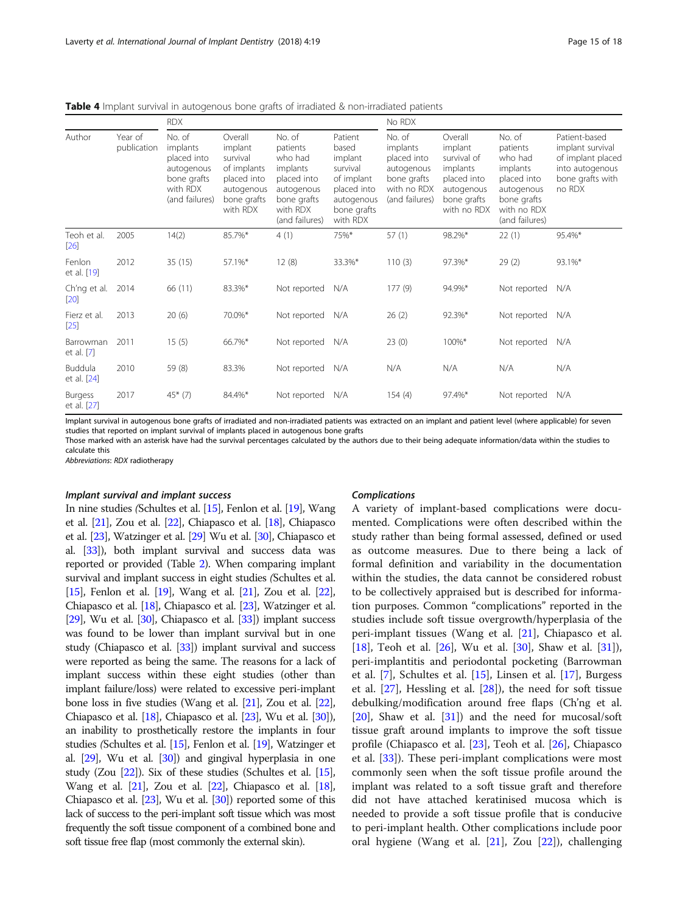<span id="page-14-0"></span>Table 4 Implant survival in autogenous bone grafts of irradiated & non-irradiated patients

|                         |                        | <b>RDX</b>                                                                                   |                                                                                                       |                                                                                                                     |                                                                                                               | No RDX                                                                                          |                                                                                                          |                                                                                                                        |                                                                                                         |
|-------------------------|------------------------|----------------------------------------------------------------------------------------------|-------------------------------------------------------------------------------------------------------|---------------------------------------------------------------------------------------------------------------------|---------------------------------------------------------------------------------------------------------------|-------------------------------------------------------------------------------------------------|----------------------------------------------------------------------------------------------------------|------------------------------------------------------------------------------------------------------------------------|---------------------------------------------------------------------------------------------------------|
| Author                  | Year of<br>publication | No. of<br>implants<br>placed into<br>autogenous<br>bone grafts<br>with RDX<br>(and failures) | Overall<br>implant<br>survival<br>of implants<br>placed into<br>autogenous<br>bone grafts<br>with RDX | No. of<br>patients<br>who had<br>implants<br>placed into<br>autogenous<br>bone grafts<br>with RDX<br>(and failures) | Patient<br>based<br>implant<br>survival<br>of implant<br>placed into<br>autogenous<br>bone grafts<br>with RDX | No. of<br>implants<br>placed into<br>autogenous<br>bone grafts<br>with no RDX<br>(and failures) | Overall<br>implant<br>survival of<br>implants<br>placed into<br>autogenous<br>bone grafts<br>with no RDX | No. of<br>patients<br>who had<br>implants<br>placed into<br>autogenous<br>bone grafts<br>with no RDX<br>(and failures) | Patient-based<br>implant survival<br>of implant placed<br>into autogenous<br>bone grafts with<br>no RDX |
| Teoh et al.<br>$[26]$   | 2005                   | 14(2)                                                                                        | 85.7%*                                                                                                | 4(1)                                                                                                                | 75%*                                                                                                          | 57(1)                                                                                           | 98.2%*                                                                                                   | 22(1)                                                                                                                  | 95.4%*                                                                                                  |
| Fenlon<br>et al. [19]   | 2012                   | 35(15)                                                                                       | 57.1%*                                                                                                | 12(8)                                                                                                               | 33.3%*                                                                                                        | 110(3)                                                                                          | 97.3%*                                                                                                   | 29(2)                                                                                                                  | 93.1%*                                                                                                  |
| Ch'ng et al.<br>$[20]$  | 2014                   | 66 (11)                                                                                      | 83.3%*                                                                                                | Not reported                                                                                                        | N/A                                                                                                           | 177(9)                                                                                          | 94.9%*                                                                                                   | Not reported                                                                                                           | N/A                                                                                                     |
| Fierz et al.<br>$[25]$  | 2013                   | 20(6)                                                                                        | 70.0%*                                                                                                | Not reported                                                                                                        | N/A                                                                                                           | 26(2)                                                                                           | 92.3%*                                                                                                   | Not reported                                                                                                           | N/A                                                                                                     |
| Barrowman<br>et al. [7] | 2011                   | 15(5)                                                                                        | 66.7%*                                                                                                | Not reported                                                                                                        | N/A                                                                                                           | 23(0)                                                                                           | 100%*                                                                                                    | Not reported                                                                                                           | N/A                                                                                                     |
| Buddula<br>et al. [24]  | 2010                   | 59 (8)                                                                                       | 83.3%                                                                                                 | Not reported                                                                                                        | N/A                                                                                                           | N/A                                                                                             | N/A                                                                                                      | N/A                                                                                                                    | N/A                                                                                                     |
| Burgess<br>et al. [27]  | 2017                   | $45*(7)$                                                                                     | 84.4%*                                                                                                | Not reported                                                                                                        | N/A                                                                                                           | 154(4)                                                                                          | 97.4%*                                                                                                   | Not reported                                                                                                           | N/A                                                                                                     |

Implant survival in autogenous bone grafts of irradiated and non-irradiated patients was extracted on an implant and patient level (where applicable) for seven studies that reported on implant survival of implants placed in autogenous bone grafts

Those marked with an asterisk have had the survival percentages calculated by the authors due to their being adequate information/data within the studies to calculate this

Abbreviations: RDX radiotherapy

#### Implant survival and implant success

In nine studies (Schultes et al. [\[15](#page-17-0)], Fenlon et al. [[19](#page-17-0)], Wang et al. [\[21\]](#page-17-0), Zou et al. [\[22\]](#page-17-0), Chiapasco et al. [\[18\]](#page-17-0), Chiapasco et al. [\[23](#page-17-0)], Watzinger et al. [\[29](#page-17-0)] Wu et al. [\[30](#page-17-0)], Chiapasco et al. [[33](#page-17-0)]), both implant survival and success data was reported or provided (Table [2](#page-9-0)). When comparing implant survival and implant success in eight studies (Schultes et al. [[15](#page-17-0)], Fenlon et al. [\[19\]](#page-17-0), Wang et al. [\[21\]](#page-17-0), Zou et al. [\[22](#page-17-0)], Chiapasco et al. [[18](#page-17-0)], Chiapasco et al. [\[23\]](#page-17-0), Watzinger et al. [ $29$ ], Wu et al. [ $30$ ], Chiapasco et al. [ $33$ ]) implant success was found to be lower than implant survival but in one study (Chiapasco et al. [[33\]](#page-17-0)) implant survival and success were reported as being the same. The reasons for a lack of implant success within these eight studies (other than implant failure/loss) were related to excessive peri-implant bone loss in five studies (Wang et al. [[21](#page-17-0)], Zou et al. [\[22](#page-17-0)], Chiapasco et al. [\[18\]](#page-17-0), Chiapasco et al. [\[23](#page-17-0)], Wu et al. [\[30](#page-17-0)]), an inability to prosthetically restore the implants in four studies (Schultes et al. [[15](#page-17-0)], Fenlon et al. [\[19](#page-17-0)], Watzinger et al. [\[29](#page-17-0)], Wu et al. [\[30\]](#page-17-0)) and gingival hyperplasia in one study (Zou [\[22\]](#page-17-0)). Six of these studies (Schultes et al. [\[15](#page-17-0)], Wang et al. [\[21](#page-17-0)], Zou et al. [\[22](#page-17-0)], Chiapasco et al. [\[18](#page-17-0)], Chiapasco et al. [\[23\]](#page-17-0), Wu et al. [\[30\]](#page-17-0)) reported some of this lack of success to the peri-implant soft tissue which was most frequently the soft tissue component of a combined bone and soft tissue free flap (most commonly the external skin).

#### Complications

A variety of implant-based complications were documented. Complications were often described within the study rather than being formal assessed, defined or used as outcome measures. Due to there being a lack of formal definition and variability in the documentation within the studies, the data cannot be considered robust to be collectively appraised but is described for information purposes. Common "complications" reported in the studies include soft tissue overgrowth/hyperplasia of the peri-implant tissues (Wang et al. [[21\]](#page-17-0), Chiapasco et al. [[18\]](#page-17-0), Teoh et al. [\[26](#page-17-0)], Wu et al. [\[30\]](#page-17-0), Shaw et al. [\[31](#page-17-0)]), peri-implantitis and periodontal pocketing (Barrowman et al. [\[7\]](#page-16-0), Schultes et al. [\[15\]](#page-17-0), Linsen et al. [\[17](#page-17-0)], Burgess et al.  $[27]$  $[27]$  $[27]$ , Hessling et al.  $[28]$  $[28]$ ), the need for soft tissue debulking/modification around free flaps (Ch'ng et al.  $[20]$  $[20]$ , Shaw et al.  $[31]$  $[31]$ ) and the need for mucosal/soft tissue graft around implants to improve the soft tissue profile (Chiapasco et al. [\[23](#page-17-0)], Teoh et al. [\[26](#page-17-0)], Chiapasco et al. [\[33](#page-17-0)]). These peri-implant complications were most commonly seen when the soft tissue profile around the implant was related to a soft tissue graft and therefore did not have attached keratinised mucosa which is needed to provide a soft tissue profile that is conducive to peri-implant health. Other complications include poor oral hygiene (Wang et al. [[21\]](#page-17-0), Zou [[22\]](#page-17-0)), challenging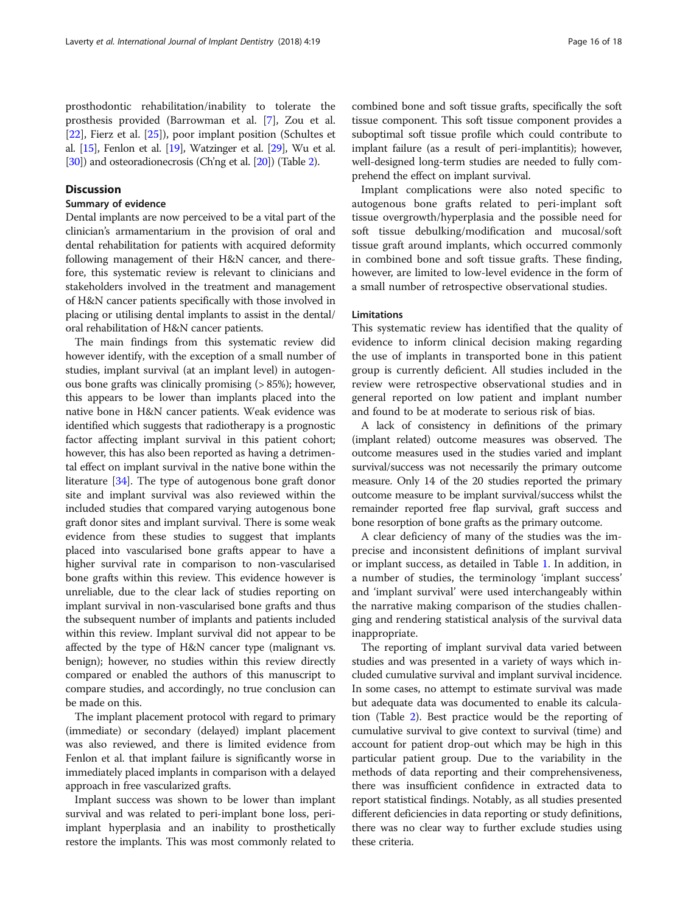prosthodontic rehabilitation/inability to tolerate the prosthesis provided (Barrowman et al. [[7\]](#page-16-0), Zou et al. [[22\]](#page-17-0), Fierz et al. [[25\]](#page-17-0)), poor implant position (Schultes et al. [[15](#page-17-0)], Fenlon et al. [\[19\]](#page-17-0), Watzinger et al. [[29](#page-17-0)], Wu et al. [[30](#page-17-0)]) and osteoradionecrosis (Ch'ng et al. [\[20\]](#page-17-0)) (Table [2\)](#page-9-0).

## **Discussion**

## Summary of evidence

Dental implants are now perceived to be a vital part of the clinician's armamentarium in the provision of oral and dental rehabilitation for patients with acquired deformity following management of their H&N cancer, and therefore, this systematic review is relevant to clinicians and stakeholders involved in the treatment and management of H&N cancer patients specifically with those involved in placing or utilising dental implants to assist in the dental/ oral rehabilitation of H&N cancer patients.

The main findings from this systematic review did however identify, with the exception of a small number of studies, implant survival (at an implant level) in autogenous bone grafts was clinically promising (> 85%); however, this appears to be lower than implants placed into the native bone in H&N cancer patients. Weak evidence was identified which suggests that radiotherapy is a prognostic factor affecting implant survival in this patient cohort; however, this has also been reported as having a detrimental effect on implant survival in the native bone within the literature [\[34\]](#page-17-0). The type of autogenous bone graft donor site and implant survival was also reviewed within the included studies that compared varying autogenous bone graft donor sites and implant survival. There is some weak evidence from these studies to suggest that implants placed into vascularised bone grafts appear to have a higher survival rate in comparison to non-vascularised bone grafts within this review. This evidence however is unreliable, due to the clear lack of studies reporting on implant survival in non-vascularised bone grafts and thus the subsequent number of implants and patients included within this review. Implant survival did not appear to be affected by the type of H&N cancer type (malignant vs. benign); however, no studies within this review directly compared or enabled the authors of this manuscript to compare studies, and accordingly, no true conclusion can be made on this.

The implant placement protocol with regard to primary (immediate) or secondary (delayed) implant placement was also reviewed, and there is limited evidence from Fenlon et al. that implant failure is significantly worse in immediately placed implants in comparison with a delayed approach in free vascularized grafts.

Implant success was shown to be lower than implant survival and was related to peri-implant bone loss, periimplant hyperplasia and an inability to prosthetically restore the implants. This was most commonly related to combined bone and soft tissue grafts, specifically the soft tissue component. This soft tissue component provides a suboptimal soft tissue profile which could contribute to implant failure (as a result of peri-implantitis); however, well-designed long-term studies are needed to fully comprehend the effect on implant survival.

Implant complications were also noted specific to autogenous bone grafts related to peri-implant soft tissue overgrowth/hyperplasia and the possible need for soft tissue debulking/modification and mucosal/soft tissue graft around implants, which occurred commonly in combined bone and soft tissue grafts. These finding, however, are limited to low-level evidence in the form of a small number of retrospective observational studies.

## Limitations

This systematic review has identified that the quality of evidence to inform clinical decision making regarding the use of implants in transported bone in this patient group is currently deficient. All studies included in the review were retrospective observational studies and in general reported on low patient and implant number and found to be at moderate to serious risk of bias.

A lack of consistency in definitions of the primary (implant related) outcome measures was observed. The outcome measures used in the studies varied and implant survival/success was not necessarily the primary outcome measure. Only 14 of the 20 studies reported the primary outcome measure to be implant survival/success whilst the remainder reported free flap survival, graft success and bone resorption of bone grafts as the primary outcome.

A clear deficiency of many of the studies was the imprecise and inconsistent definitions of implant survival or implant success, as detailed in Table [1.](#page-4-0) In addition, in a number of studies, the terminology 'implant success' and 'implant survival' were used interchangeably within the narrative making comparison of the studies challenging and rendering statistical analysis of the survival data inappropriate.

The reporting of implant survival data varied between studies and was presented in a variety of ways which included cumulative survival and implant survival incidence. In some cases, no attempt to estimate survival was made but adequate data was documented to enable its calculation (Table [2\)](#page-9-0). Best practice would be the reporting of cumulative survival to give context to survival (time) and account for patient drop-out which may be high in this particular patient group. Due to the variability in the methods of data reporting and their comprehensiveness, there was insufficient confidence in extracted data to report statistical findings. Notably, as all studies presented different deficiencies in data reporting or study definitions, there was no clear way to further exclude studies using these criteria.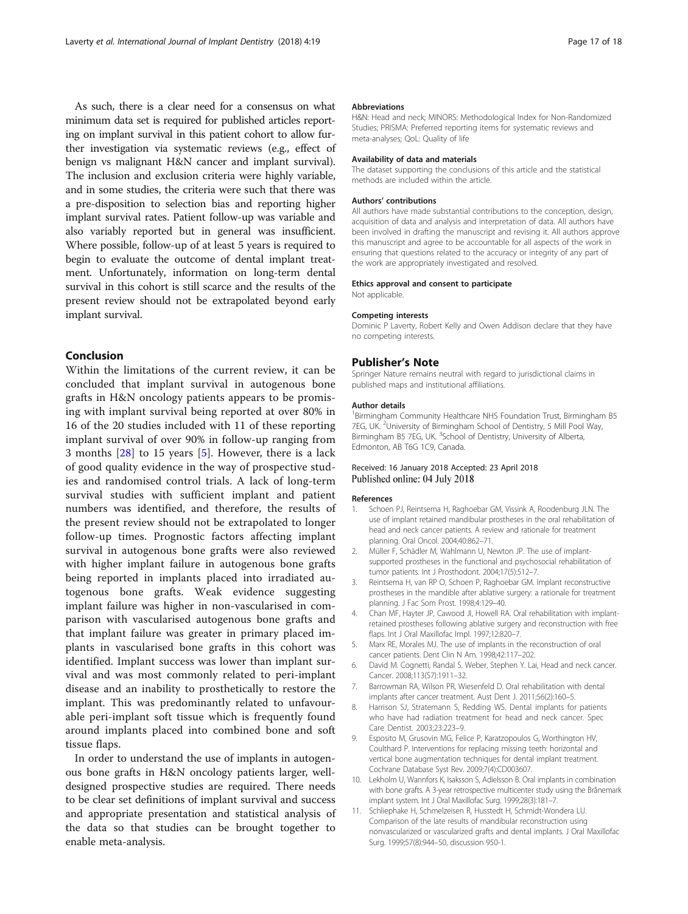<span id="page-16-0"></span>As such, there is a clear need for a consensus on what minimum data set is required for published articles reporting on implant survival in this patient cohort to allow further investigation via systematic reviews (e.g., effect of benign vs malignant H&N cancer and implant survival). The inclusion and exclusion criteria were highly variable, and in some studies, the criteria were such that there was a pre-disposition to selection bias and reporting higher implant survival rates. Patient follow-up was variable and also variably reported but in general was insufficient. Where possible, follow-up of at least 5 years is required to begin to evaluate the outcome of dental implant treatment. Unfortunately, information on long-term dental survival in this cohort is still scarce and the results of the present review should not be extrapolated beyond early implant survival.

## Conclusion

Within the limitations of the current review, it can be concluded that implant survival in autogenous bone grafts in H&N oncology patients appears to be promising with implant survival being reported at over 80% in 16 of the 20 studies included with 11 of these reporting implant survival of over 90% in follow-up ranging from 3 months [[28\]](#page-17-0) to 15 years [5]. However, there is a lack of good quality evidence in the way of prospective studies and randomised control trials. A lack of long-term survival studies with sufficient implant and patient numbers was identified, and therefore, the results of the present review should not be extrapolated to longer follow-up times. Prognostic factors affecting implant survival in autogenous bone grafts were also reviewed with higher implant failure in autogenous bone grafts being reported in implants placed into irradiated autogenous bone grafts. Weak evidence suggesting implant failure was higher in non-vascularised in comparison with vascularised autogenous bone grafts and that implant failure was greater in primary placed implants in vascularised bone grafts in this cohort was identified. Implant success was lower than implant survival and was most commonly related to peri-implant disease and an inability to prosthetically to restore the implant. This was predominantly related to unfavourable peri-implant soft tissue which is frequently found around implants placed into combined bone and soft tissue flaps.

In order to understand the use of implants in autogenous bone grafts in H&N oncology patients larger, welldesigned prospective studies are required. There needs to be clear set definitions of implant survival and success and appropriate presentation and statistical analysis of the data so that studies can be brought together to enable meta-analysis.

#### Abbreviations

H&N: Head and neck; MINORS: Methodological Index for Non-Randomized Studies; PRISMA: Preferred reporting items for systematic reviews and meta-analyses; QoL: Quality of life

#### Availability of data and materials

The dataset supporting the conclusions of this article and the statistical methods are included within the article.

#### Authors' contributions

All authors have made substantial contributions to the conception, design, acquisition of data and analysis and interpretation of data. All authors have been involved in drafting the manuscript and revising it. All authors approve this manuscript and agree to be accountable for all aspects of the work in ensuring that questions related to the accuracy or integrity of any part of the work are appropriately investigated and resolved.

#### Ethics approval and consent to participate

Not applicable.

#### Competing interests

Dominic P Laverty, Robert Kelly and Owen Addison declare that they have no competing interests.

#### Publisher's Note

Springer Nature remains neutral with regard to jurisdictional claims in published maps and institutional affiliations.

#### Author details

<sup>1</sup>Birmingham Community Healthcare NHS Foundation Trust, Birmingham B5 7EG, UK. <sup>2</sup>University of Birmingham School of Dentistry, 5 Mill Pool Way Birmingham B5 7EG, UK. <sup>3</sup>School of Dentistry, University of Alberta Edmonton, AB T6G 1C9, Canada.

#### Received: 16 January 2018 Accepted: 23 April 2018 Published online: 04 July 2018

#### References

- 1. Schoen PJ, Reintsema H, Raghoebar GM, Vissink A, Roodenburg JLN. The use of implant retained mandibular prostheses in the oral rehabilitation of head and neck cancer patients. A review and rationale for treatment planning. Oral Oncol. 2004;40:862–71.
- 2. Müller F, Schädler M, Wahlmann U, Newton JP. The use of implantsupported prostheses in the functional and psychosocial rehabilitation of tumor patients. Int J Prosthodont. 2004;17(5):512–7.
- 3. Reintsema H, van RP O, Schoen P, Raghoebar GM. Implant reconstructive prostheses in the mandible after ablative surgery: a rationale for treatment planning. J Fac Som Prost. 1998;4:129–40.
- 4. Chan MF, Hayter JP, Cawood JI, Howell RA. Oral rehabilitation with implantretained prostheses following ablative surgery and reconstruction with free flaps. Int J Oral Maxillofac Impl. 1997;12:820–7.
- 5. Marx RE, Morales MJ. The use of implants in the reconstruction of oral cancer patients. Dent Clin N Am. 1998;42:117–202.
- 6. David M. Cognetti, Randal S. Weber, Stephen Y. Lai, Head and neck cancer. Cancer. 2008;113(S7):1911–32.
- 7. Barrowman RA, Wilson PR, Wiesenfeld D. Oral rehabilitation with dental implants after cancer treatment. Aust Dent J. 2011;56(2):160–5.
- 8. Harrison SJ, Stratemann S, Redding WS. Dental implants for patients who have had radiation treatment for head and neck cancer. Spec Care Dentist. 2003;23:223–9.
- 9. Esposito M, Grusovin MG, Felice P, Karatzopoulos G, Worthington HV, Coulthard P. Interventions for replacing missing teeth: horizontal and vertical bone augmentation techniques for dental implant treatment. Cochrane Database Syst Rev. 2009;7(4):CD003607.
- 10. Lekholm U, Wannfors K, Isaksson S, Adielsson B. Oral implants in combination with bone grafts. A 3-year retrospective multicenter study using the Brånemark implant system. Int J Oral Maxillofac Surg. 1999;28(3):181–7.
- 11. Schliephake H, Schmelzeisen R, Husstedt H, Schmidt-Wondera LU. Comparison of the late results of mandibular reconstruction using nonvascularized or vascularized grafts and dental implants. J Oral Maxillofac Surg. 1999;57(8):944–50, discussion 950-1.